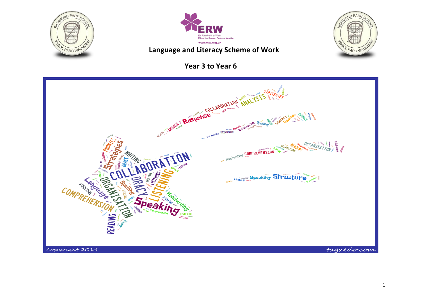



### Language and Literacy Scheme of Work

### **Year 3 to Year 6**



**NOND PARA** 

OL PARC WAUN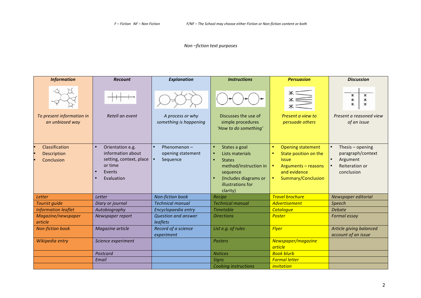### *Non –fiction text purposes*

| <b>Information</b>                                 | <b>Recount</b>                                                                                                   | <b>Explanation</b>                              | <b>Instructions</b>                                                                                                                                                        | <b>Persuasion</b>                                                                                                                                                                  | <b>Discussion</b>                                                                 |
|----------------------------------------------------|------------------------------------------------------------------------------------------------------------------|-------------------------------------------------|----------------------------------------------------------------------------------------------------------------------------------------------------------------------------|------------------------------------------------------------------------------------------------------------------------------------------------------------------------------------|-----------------------------------------------------------------------------------|
| To present information in<br>an unbiased way       | Retell an event                                                                                                  | A process or why<br>something is happening      | Discusses the use of<br>simple procedures<br>'How to do something'                                                                                                         | Present a view to<br>persuade others                                                                                                                                               | Ж<br>Ж<br>Ж<br>Ж<br>$\ast$<br>∗<br>Present a reasoned view<br>of an issue         |
| Classification<br><b>Description</b><br>Conclusion | Orientation e.g.<br>$\bullet$<br>information about<br>setting, context, place<br>or time<br>Events<br>Evaluation | Phenomenon $-$<br>opening statement<br>Sequence | States a goal<br>$\bullet$<br>Lists materials<br><b>States</b><br>$\bullet$<br>method/instruction in<br>sequence<br>(Includes diagrams or<br>illustrations for<br>clarity) | <b>Opening statement</b><br>$\bullet$<br>State position on the<br>$\bullet$<br><i>issue</i><br>$\bullet$<br>Arguments - reasons<br>and evidence<br>Summary/Conclusion<br>$\bullet$ | Thesis - opening<br>paragraph/context<br>Argument<br>Reiteration or<br>conclusion |
| Letter                                             | Letter                                                                                                           | <b>Non-fiction book</b>                         | Recipe                                                                                                                                                                     | <b>Travel brochure</b>                                                                                                                                                             | Newspaper editorial                                                               |
| Tourist guide                                      | Diary or journal                                                                                                 | <b>Technical manual</b>                         | <b>Technical manual</b>                                                                                                                                                    | <b>Advertisement</b>                                                                                                                                                               | Speech                                                                            |
| <b>Information leaflet</b>                         | Autobiography                                                                                                    | Encyclopaedia entry                             | <b>Timetable</b>                                                                                                                                                           | <b>Catalogue</b>                                                                                                                                                                   | Debate                                                                            |
| Magazine/newspaper<br>article                      | Newspaper report                                                                                                 | <b>Question and answer</b><br>leaflets          | <b>Directions</b>                                                                                                                                                          | <b>Poster</b>                                                                                                                                                                      | Formal essay                                                                      |
| <b>Non-fiction book</b>                            | Magazine article                                                                                                 | Record of a science<br>experiment               | List e.g. of rules                                                                                                                                                         | <b>Flyer</b>                                                                                                                                                                       | Article giving balanced<br>account of an issue                                    |
| Wikipedia entry                                    | Science experiment                                                                                               |                                                 | <b>Posters</b>                                                                                                                                                             | Newspaper/magazine<br><b>article</b>                                                                                                                                               |                                                                                   |
|                                                    | Postcard                                                                                                         |                                                 | <b>Notices</b>                                                                                                                                                             | <b>Book blurb</b>                                                                                                                                                                  |                                                                                   |
|                                                    | Email                                                                                                            |                                                 | <b>Signs</b>                                                                                                                                                               | <b>Formal letter</b>                                                                                                                                                               |                                                                                   |
|                                                    |                                                                                                                  |                                                 | <b>Cooking instructions</b>                                                                                                                                                | invitation                                                                                                                                                                         |                                                                                   |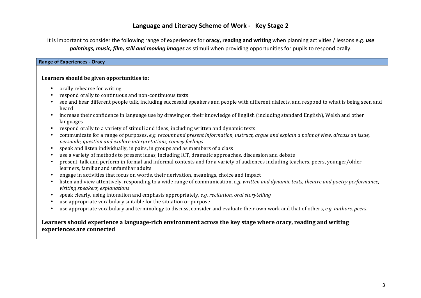Language and Literacy Scheme of Work - Key Stage 2

It is important to consider the following range of experiences for **oracy, reading and writing** when planning activities / lessons e.g. *use paintings, music, film, still and moving images* as stimuli when providing opportunities for pupils to respond orally.

### **Range of Experiences - Oracy**

### Learners should be given opportunities to:

- orally rehearse for writing
- respond orally to continuous and non-continuous texts
- see and hear different people talk, including successful speakers and people with different dialects, and respond to what is being seen and heard
- increase their confidence in language use by drawing on their knowledge of English (including standard English), Welsh and other languages
- respond orally to a variety of stimuli and ideas, including written and dynamic texts
- communicate for a range of purposes, *e.g. recount and present information, instruct, arque and explain a point of view, discuss an issue, persuade, question and explore interpretations, convey feelings*
- speak and listen individually, in pairs, in groups and as members of a class
- use a variety of methods to present ideas, including ICT, dramatic approaches, discussion and debate
- present, talk and perform in formal and informal contexts and for a variety of audiences including teachers, peers, younger/older learners, familiar and unfamiliar adults
- engage in activities that focus on words, their derivation, meanings, choice and impact
- listen and view attentively, responding to a wide range of communication, *e.g. written and dynamic texts, theatre and poetry performance, visiting speakers, explanations*
- speak clearly, using intonation and emphasis appropriately, *e.g. recitation, oral storytelling*
- use appropriate vocabulary suitable for the situation or purpose
- use appropriate vocabulary and terminology to discuss, consider and evaluate their own work and that of others, *e.g. authors, peers.*

### Learners should experience a language-rich environment across the key stage where oracy, reading and writing experiences are connected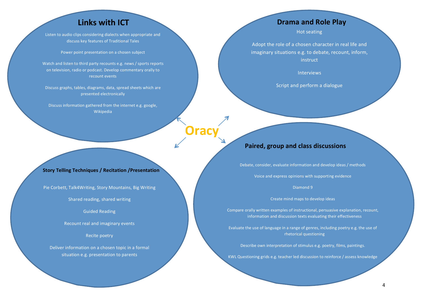### **Links with ICT**

Listen to audio clips considering dialects when appropriate and discuss key features of Traditional Tales

Power point presentation on a chosen subject

Watch and listen to third party recounts e.g. news / sports reports on television, radio or podcast. Develop commentary orally to recount events

Discuss graphs, tables, diagrams, data, spread sheets which are presented electronically

Discuss information gathered from the internet e.g. google, Wikipedia

#### **Story Telling Techniques / Recitation / Presentation**

Pie Corbett, Talk4Writing, Story Mountains, Big Writing

Shared reading, shared writing

Guided Reading

Recount real and imaginary events

Recite poetry

Deliver information on a chosen topic in a formal situation e.g. presentation to parents

### **Drama and Role Play**

Hot seating

Adopt the role of a chosen character in real life and imaginary situations e.g. to debate, recount, inform, instruct

**Interviews** 

Script and perform a dialogue

### **Paired, group and class discussions**

**Oracy**

Debate, consider, evaluate information and develop ideas / methods

Voice and express opinions with supporting evidence

Diamond 9

Create mind maps to develop ideas

Compare orally written examples of instructional, persuasive explanation, recount, information and discussion texts evaluating their effectiveness

Evaluate the use of language in a range of genres, including poetry e.g. the use of rhetorical questioning

Describe own interpretation of stimulus e.g. poetry, films, paintings.

KWL Questioning grids e.g. teacher led discussion to reinforce / assess knowledge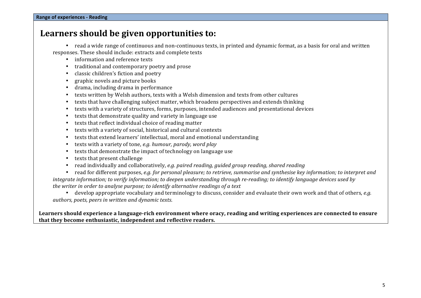### Learners should be given opportunities to:

• read a wide range of continuous and non-continuous texts, in printed and dynamic format, as a basis for oral and written responses. These should include: extracts and complete texts

- information and reference texts
- traditional and contemporary poetry and prose
- classic children's fiction and poetry
- graphic novels and picture books
- drama, including drama in performance
- texts written by Welsh authors, texts with a Welsh dimension and texts from other cultures
- texts that have challenging subject matter, which broadens perspectives and extends thinking
- texts with a variety of structures, forms, purposes, intended audiences and presentational devices
- texts that demonstrate quality and variety in language use
- texts that reflect individual choice of reading matter
- texts with a variety of social, historical and cultural contexts
- texts that extend learners' intellectual, moral and emotional understanding
- texts with a variety of tone, *e.g.* humour, parody, word play
- texts that demonstrate the impact of technology on language use
- texts that present challenge
- read individually and collaboratively, *e.g. paired reading, quided group reading, shared reading*

read for different purposes, *e.g.* for personal pleasure; to retrieve, summarise and synthesise key information; to interpret and *integrate information;* to verify information; to deepen understanding through re-reading; to identify language devices used by *the writer in order to analyse purpose; to identify alternative readings of a text* 

• develop appropriate vocabulary and terminology to discuss, consider and evaluate their own work and that of others, *e.g. authors, poets, peers in written and dynamic texts.* 

### Learners should experience a language-rich environment where oracy, reading and writing experiences are connected to ensure that they become enthusiastic, independent and reflective readers.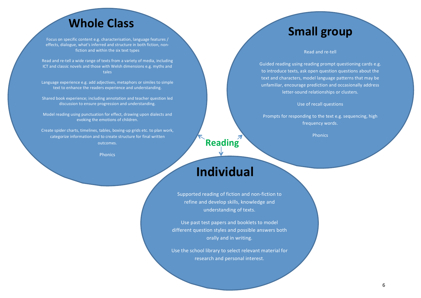# **Whole Class Small group**

Focus on specific content e.g. characterisation, language features / effects, dialogue, what's inferred and structure in both fiction, nonfiction and within the six text types

Read and re-tell a wide range of texts from a variety of media, including ICT and classic novels and those with Welsh dimensions e.g. myths and tales

Language experience e.g. add adiectives, metaphors or similes to simple text to enhance the readers experience and understanding.

Shared book experience; including annotation and teacher question led discussion to ensure progression and understanding.

Model reading using punctuation for effect, drawing upon dialects and evoking the emotions of children.

Create spider charts, timelines, tables, boxing-up grids etc. to plan work, categorize information and to create structure for final written outcomes. 

**Phonics** 

#### Read and re-tell

Guided reading using reading prompt questioning cards e.g. to introduce texts, ask open question questions about the text and characters, model language patterns that may be unfamiliar, encourage prediction and occasionally address letter-sound relationships or clusters.

Use of recall questions

Prompts for responding to the text e.g. sequencing, high frequency words.

Phonics

### **Individual**

**Reading**

Supported reading of fiction and non-fiction to refine and develop skills, knowledge and understanding of texts.

Use past test papers and booklets to model different question styles and possible answers both orally and in writing.

Use the school library to select relevant material for research and personal interest.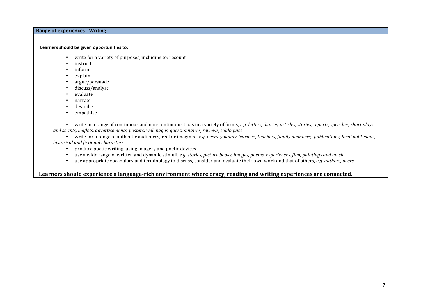### **Range of experiences - Writing**

#### Learners should be given opportunities to:

- write for a variety of purposes, including to: recount
- instruct
- inform
- explain
- argue/persuade
- discuss/analyse
- evaluate
- narrate
- describe
- empathise

• write in a range of continuous and non-continuous texts in a variety of forms, *e.g. letters, diaries, articles, stories, reports, speeches, short plays* and scripts, leaflets, advertisements, posters, web pages, questionnaires, reviews, soliloquies

• write for a range of authentic audiences, real or imagined, *e.g. peers, younger learners, teachers, family members, publications, local politicians,* historical and fictional characters

- produce poetic writing, using imagery and poetic devices
- use a wide range of written and dynamic stimuli, *e.g.* stories, picture books, images, poems, experiences, film, paintings and music
- use appropriate vocabulary and terminology to discuss, consider and evaluate their own work and that of others, *e.g. authors, peers.*

### Learners should experience a language-rich environment where oracy, reading and writing experiences are connected.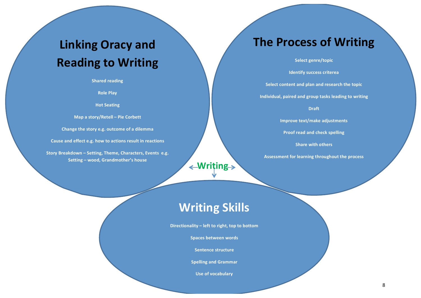## **Linking Oracy and Reading to Writing**

**Shared reading** 

**Role Play**

**Hot Seating**

**Map a story/Retell – Pie Corbett** 

**Change the story e.g. outcome of a dilemma** 

Cause and effect e.g. how to actions result in reactions

**Story Breakdown - Setting, Theme, Characters, Events e.g. Setting – wood, Grandmother's house** 

### **The Process of Writing**

**Select genre/topic** 

**Identify success criterea** 

**Select content and plan and research the topic** 

Individual, paired and group tasks leading to writing

**Draft**

**Improve text/make adjustments** 

**Proof read and check spelling** 

**Share with others** 

Assessment for learning throughout the process

### **Writing Skills**

**Writing**

Directionality – left to right, top to bottom

**Spaces between words**

**Sentence structure**

**Spelling and Grammar** 

**Use of vocabulary**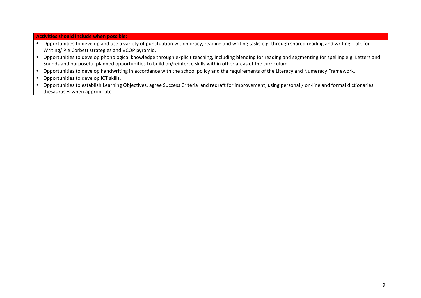### **Activities should include when possible:**

- Opportunities to develop and use a variety of punctuation within oracy, reading and writing tasks e.g. through shared reading and writing, Talk for Writing/ Pie Corbett strategies and VCOP pyramid.
- Opportunities to develop phonological knowledge through explicit teaching, including blending for reading and segmenting for spelling e.g. Letters and Sounds and purposeful planned opportunities to build on/reinforce skills within other areas of the curriculum.
- Opportunities to develop handwriting in accordance with the school policy and the requirements of the Literacy and Numeracy Framework.
- Opportunities to develop ICT skills.
- Opportunities to establish Learning Objectives, agree Success Criteria and redraft for improvement, using personal / on-line and formal dictionaries thesauruses when appropriate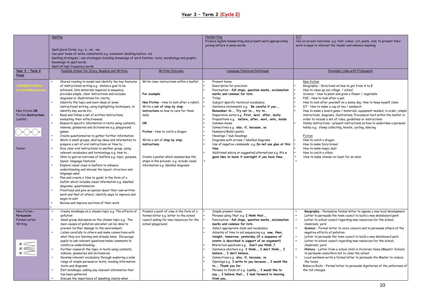### **Year 3 – Term 2 (Cycle 2)**

|                                         | Spelling                                                                                                       |                                                                                     | Handwriting                                                                                             | <b>ICT</b>                                                                                                                                   |
|-----------------------------------------|----------------------------------------------------------------------------------------------------------------|-------------------------------------------------------------------------------------|---------------------------------------------------------------------------------------------------------|----------------------------------------------------------------------------------------------------------------------------------------------|
|                                         |                                                                                                                |                                                                                     | Produce legible handwriting and present work appropriately<br>joining letters in some words             | Use on-screen functions, e.g. font, colour, cut, paste, size, to present their<br>work in ways to interest the reader and enhance meaning    |
|                                         | Spell plural forms, e.g. -s, -es, -ies                                                                         |                                                                                     |                                                                                                         |                                                                                                                                              |
|                                         | Use past tense of verbs consistently e.g. consonant doubling before -ed                                        |                                                                                     |                                                                                                         |                                                                                                                                              |
|                                         | Spelling strategies - use strategies including knowledge of word families, roots, morphology and graphic       |                                                                                     |                                                                                                         |                                                                                                                                              |
|                                         | knowledge to spell words<br>Spell all high frequency words                                                     |                                                                                     |                                                                                                         |                                                                                                                                              |
| Year 3 - Term 2                         | Possible stimuli for Oracy, Reading and Writing                                                                | Written Outcome                                                                     | Language Features/Continuum                                                                             | <b>Exemplar Links with Framework</b>                                                                                                         |
| Focus                                   |                                                                                                                |                                                                                     |                                                                                                         |                                                                                                                                              |
|                                         | Shared reading to model and identify the key features                                                          | Write clear instructions within a leaflet.                                          | Present tense                                                                                           | Non-fiction                                                                                                                                  |
|                                         | of instructional writing e.g. states a goal to be                                                              |                                                                                     | Description for precision                                                                               | Geography - Directions on how to get from A to B                                                                                             |
|                                         | achieved, lists materials required in sequence,<br>provides simple, clear instructions and includes            | For example                                                                         | Punctuation - full stops, question marks, exclamation<br>marks and commas for lists.                    | How to clean up our village / school<br>Science - How to plant and grow a flower / vegetable                                                 |
|                                         | diagrams or illustrations for clarity.                                                                         |                                                                                     | Titles                                                                                                  | PSE - How to look after a pet                                                                                                                |
|                                         | Identify the topic and main ideas of some                                                                      | Non Fiction - How to look after a rabbit.                                           | Subject specific technical vocabulary                                                                   | How to look after yourself on a sunny day, How to keep myself clean                                                                          |
|                                         | instructional writing, using highlighting techniques, to                                                       | Write a set of step by step                                                         | Sentence statements e.g. Be careful if you,                                                             | DT - How to make a cup of tea / sandwich                                                                                                     |
| Non-fiction OR                          | identify key words etc.                                                                                        | instructions on how to care for them                                                | Remember to, Try not to, try to                                                                         | How to make a board game / materials, equipment needed, in order, simple                                                                     |
| <b>Fiction Instructions</b><br>Leaflet. | Read and follow a set of written instructions,<br>evaluating their effectiveness.                              | daily.                                                                              | Imperative verbs e.g. First, next, after, lastly<br>Prepositions e.g. before, after, next, onto, inside | instructions, diagrams, illustrations. Procedural text within the leaflet in<br>order to include a set of rules, quidelines or instructions  |
|                                         | Research specific information in texts using contents,                                                         | OR                                                                                  | Common nouns                                                                                            | Hobby instructions - present instructions on how to undertake a personal                                                                     |
|                                         | indexes, glossaries and dictionaries e.g. playground                                                           |                                                                                     | Connectives e.g. also, if, because, so                                                                  | hobby e.g. stamp collecting, karate, cycling, dancing                                                                                        |
|                                         | games                                                                                                          | Fiction - How to catch a dragon                                                     | Numbers/Bullet points                                                                                   |                                                                                                                                              |
|                                         | Create questionnaires to gather further information                                                            |                                                                                     | Headings / Sub-headings                                                                                 | Fiction                                                                                                                                      |
|                                         | Work in small groups, sharing ideas and information to<br>prepare a set of oral instructions on 'How to'       | Write a set of step by step<br>instructions.                                        | Diagrams with arrows / labelled diagrams<br>Use of negative commands e.g. Do not use glue at this       | How to catch a dragon<br>How to make fairy bread                                                                                             |
| Poster                                  | Give clear oral instructions to another group, using                                                           |                                                                                     | time                                                                                                    | How to make magic dust                                                                                                                       |
|                                         | relevant vocabulary and terminology e.g. How to                                                                |                                                                                     | Additional advice or suggested alternatives e.g. it's a                                                 | How to catch a villain                                                                                                                       |
|                                         | Skim to gain an overview of leaflets e.g. topic, purpose,                                                      | Create a poster which summarises the                                                | good idea to leave it overnight if you have time.                                                       | How to make cheese on toast for an alien                                                                                                     |
|                                         | layout, language features                                                                                      | steps in the process e.g. include visual                                            |                                                                                                         |                                                                                                                                              |
|                                         | Explore visual clues in leaflets to enhance<br>understanding and discuss the layout, structure and             | information e.g. labelled diagrams                                                  |                                                                                                         |                                                                                                                                              |
|                                         | language used.                                                                                                 |                                                                                     |                                                                                                         |                                                                                                                                              |
|                                         | Plan and create a 'How to guide' in the form of a                                                              |                                                                                     |                                                                                                         |                                                                                                                                              |
|                                         | leaflet which includes visual information e.g. labelled                                                        |                                                                                     |                                                                                                         |                                                                                                                                              |
|                                         | diagrams, questionnaires.                                                                                      |                                                                                     |                                                                                                         |                                                                                                                                              |
|                                         | Proofread and give an opinion about their own written<br>work and that of others; identify ways to improve and |                                                                                     |                                                                                                         |                                                                                                                                              |
|                                         | begin to edit                                                                                                  |                                                                                     |                                                                                                         |                                                                                                                                              |
|                                         | Review and improve sections of their work                                                                      |                                                                                     |                                                                                                         |                                                                                                                                              |
|                                         |                                                                                                                |                                                                                     |                                                                                                         |                                                                                                                                              |
| Non-fiction-<br>Persuasion              | Create mindmaps on a chosen topic e.g. The effects of<br>pollution                                             | Present a point of view in the form of a<br>formal letter e.g. letter to the school | Simple present tense<br>Phrases using 'that' e.g. I think that,                                         | Geography - Persuasive formal letter to oppose a new local development<br>Letter to persuade the town council to build a new skateboard park |
| Formal Letter                           | Small group discussion on the chosen topic e.g. The                                                            | council asking for new resources for the                                            | Punctuation - full stops, question marks, exclamation                                                   | Letter to school council regarding new resources for the school,                                                                             |
| Writing                                 | main causes of pollution and what can be done to                                                               | school playground.                                                                  | marks and commas for lists.                                                                             | classroom, yard.                                                                                                                             |
|                                         | prevent further damage to the environment.                                                                     |                                                                                     | Select appropriate style and vocabulary                                                                 | Science - Formal letter to voice concern and to persuade others of the                                                                       |
|                                         | Listen carefully to others and make connections with<br>what they are learning and already know. Encourage     |                                                                                     | Adverbs of time to aid sequencing e.g. now, then,<br>tonight, tomorrow, yesterday (if a sequence of     | negative effects of pollution.<br>Letter to persuade the town council to build a new skateboard park                                         |
|                                         | pupils to ask relevant questions/make comments to                                                              |                                                                                     | events is described in support of an argument)                                                          | Letter to school council regarding new resources for the school,                                                                             |
|                                         | reinforce understanding.                                                                                       |                                                                                     | Rhetorical questions e.g. Don't you think?                                                              | classroom, yard.                                                                                                                             |
| $\sum_{k=1}^{n}$                        | Further research the topic in texts using contents,                                                            |                                                                                     | Sentence starters e.g. I think, I don't think, I                                                        | History - Letter from a school child in Victorian times (Maestir School)                                                                     |
|                                         | indexes, glossaries and dictionaries                                                                           |                                                                                     | believe, I don't believe                                                                                | to persuade councillors not to close the school                                                                                              |
|                                         | Develop relevant vocabulary through exploring a wide<br>range of simple persuasive texts, reading information  |                                                                                     | Connectives e.g. also, if, because, so<br>Openings e.g. I write to you because, I would like            | Local workmen write a formal letter to persuade the Master to reduce<br>the taxes.                                                           |
|                                         | texts and diagrams                                                                                             |                                                                                     | to, Thank you for                                                                                       | Rebecca Riots - Formal letter to persuade dignitaries of the unfairness of                                                                   |
|                                         | Edit mindmaps, adding any relevant information that                                                            |                                                                                     | Phrases to finish of e.g. Lastly, I would like to                                                       | the toll charges.                                                                                                                            |
|                                         | has been gathered.                                                                                             |                                                                                     | say, I believe that, I look forward to hearing                                                          |                                                                                                                                              |
|                                         | Discuss the importance of speaking clearly when                                                                |                                                                                     | from you                                                                                                |                                                                                                                                              |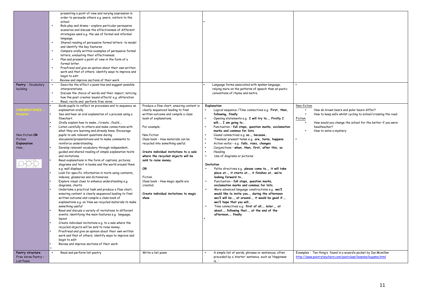| Poetry - Vocabulary<br>building                        | presenting a point of view and varying expression in<br>order to persuade others e.g. peers, visitors to the<br>school.<br>Role play and drama - explore particular persuasive<br>scenarios and discuss the effectiveness of different<br>strategies used e.g. the use of formal and informal<br>language.<br>Shared reading of persuasive formal letters to model<br>and identify the key features<br>Compare orally written examples of persuasive formal<br>letters, evaluating their effectiveness.<br>Plan and present a point of view in the form of a<br>formal letter.<br>Proofread and give an opinion about their own written<br>work and that of others; identify ways to improve and<br>begin to edit<br>Review and improve sections of their work<br>Describe the effect a poem has and suggest possible<br>interpretations.<br>Discuss the choice of words and their impact, noticing<br>how the poet creates 'sound effects' e.g. alliteration                                                                                                                                                                                                                                                                                                                                                                                                                                                                                                                                                                                                                                                 |                                                                                                                                                                                                                                                                                                                                                                                                                                                                                      | Language forms associated with spoken language,<br>relying more on the patterns of speech than on poetic<br>conventions of rhyme and metre.                                                                                                                                                                                                                                                                                                                                                                                                                                                                                                                                                                                                                                                                                                                                                                                                                                                                                                                                                                 |                                                                                                                                                                                                                                             |
|--------------------------------------------------------|---------------------------------------------------------------------------------------------------------------------------------------------------------------------------------------------------------------------------------------------------------------------------------------------------------------------------------------------------------------------------------------------------------------------------------------------------------------------------------------------------------------------------------------------------------------------------------------------------------------------------------------------------------------------------------------------------------------------------------------------------------------------------------------------------------------------------------------------------------------------------------------------------------------------------------------------------------------------------------------------------------------------------------------------------------------------------------------------------------------------------------------------------------------------------------------------------------------------------------------------------------------------------------------------------------------------------------------------------------------------------------------------------------------------------------------------------------------------------------------------------------------------------------------------------------------------------------------------------------------|--------------------------------------------------------------------------------------------------------------------------------------------------------------------------------------------------------------------------------------------------------------------------------------------------------------------------------------------------------------------------------------------------------------------------------------------------------------------------------------|-------------------------------------------------------------------------------------------------------------------------------------------------------------------------------------------------------------------------------------------------------------------------------------------------------------------------------------------------------------------------------------------------------------------------------------------------------------------------------------------------------------------------------------------------------------------------------------------------------------------------------------------------------------------------------------------------------------------------------------------------------------------------------------------------------------------------------------------------------------------------------------------------------------------------------------------------------------------------------------------------------------------------------------------------------------------------------------------------------------|---------------------------------------------------------------------------------------------------------------------------------------------------------------------------------------------------------------------------------------------|
| Non-fiction OR<br>Fiction<br><b>Explanation</b><br>How | Read, recite and perform free verse<br>Guide pupils to reflect on processes and to sequence an<br>explanation orally.<br>See and hear an oral explanation of a process using a<br>flowchart.<br>Orally explain how to make/create/build<br>Listen carefully to others and make connections with<br>what they are learning and already know. Encourage<br>pupils to ask relevant questions during<br>discussion/presentations and to make comments to<br>reinforce understanding.<br>Develop relevant vocabulary through independent,<br>quided and shared reading of simple explanation texts<br>and invitations.<br>Read explanations in the form of captions, pictures,<br>diagrams and text in books and the world around them<br>e.g. wall displays.<br>Look for specific information in texts using contents,<br>indexes, glossaries and dictionaries.<br>Explore visual clues to enhance understanding e.g.<br>diagrams, charts<br>Undertake a practical task and produce a flow chart,<br>ensuring content is clearly sequenced leading to final<br>written outcome and compile a class book of<br>explanations e.g. on 'How we recycled materials to make<br>something useful'<br>Read and discuss a variety of invitations to different<br>events; identifying the main features e.g. language,<br>layout<br>Create individual invitations e.g. to a sale where the<br>recycled objects will be sold to raise money.<br>Proofread and give an opinion about their own written<br>work and that of others; identify ways to improve and<br>begin to edit<br>Review and improve sections of their work | Produce a flow chart, ensuring content is<br>clearly sequenced leading to final<br>written outcome and compile a class<br>book of explanations.<br>For example:<br>Non-fiction<br>Class book - How materials can be<br>recycled into something useful.<br>Create individual invitations to a sale<br>where the recycled objects will be<br>sold to raise money.<br>OR<br>Fiction<br>Class book - How magic spells are<br>created.<br>Create individual invitations to magic<br>show. | Explanation<br>Logical sequence / Time connectives e.g. First, then,<br>following, finally<br>Opening statements e.g. I will try to, Firstly I<br>will, I am going to<br>Punctuation - full stops, question marks, exclamation<br>$\bullet$<br>marks and commas for lists.<br>Causal connectives e.g. so, because<br>'Timeless' present tense e.g. are, turns, happens<br>$\bullet$<br>Action verbs - e.g. falls, rises, changes<br>$\bullet$<br>Conjunctions - when, then, first, after this, so<br>$\bullet$<br>Heading<br>Use of diagrams or pictures<br>$\bullet$<br>Invitation<br>Polite directives e.g. please come to, it will take<br>place at, it starts at, it finishes at we're<br>looking forward to<br>Punctuation - full stops, question marks,<br>exclamation marks and commas for lists.<br>More advanced language constructions e.g. we/I<br>would like to invite you, during the afternoon<br>we/I will be, at around, it would be good if,<br>we/I hope that you will<br>Time connectives e.g. first of all, later, at<br>about, following that, at the end of the<br>afternoon, finally | Non-fiction<br>How do brown bears and polar bears differ?<br>How to keep safe whilst cycling to school/crossing the road<br>Fiction<br>How would you change the school for the better if you were<br>headteacher?<br>How to solve a mystery |
| Poetry structure<br>Free Verse Poetry -<br>List Poem   | Read and perform list poetry                                                                                                                                                                                                                                                                                                                                                                                                                                                                                                                                                                                                                                                                                                                                                                                                                                                                                                                                                                                                                                                                                                                                                                                                                                                                                                                                                                                                                                                                                                                                                                                  | Write a list poem                                                                                                                                                                                                                                                                                                                                                                                                                                                                    | A simple list of words, phrases or sentences, often<br>preceded by a 'starter' sentence, such as 'Happiness<br>is'                                                                                                                                                                                                                                                                                                                                                                                                                                                                                                                                                                                                                                                                                                                                                                                                                                                                                                                                                                                          | Examples: Ten thing's found in a wizard's pocket by Ian Mcmillan<br>http://www.poetryteachers.com/poetclass/lessons/bugsme.html                                                                                                             |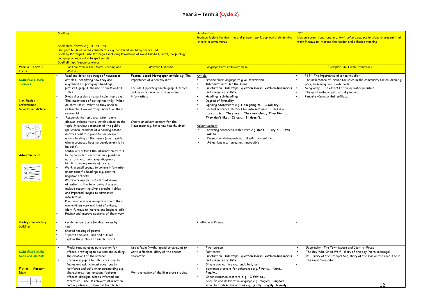### **Year 3 – Term 3 (Cycle 2)**

| <b>ICT</b><br><b>Spelling</b><br>Handwriting                                                                                                                                                                                              |                                                                                                                                           |
|-------------------------------------------------------------------------------------------------------------------------------------------------------------------------------------------------------------------------------------------|-------------------------------------------------------------------------------------------------------------------------------------------|
| Produce legible handwriting and present work appropriately joining<br>letters in some words                                                                                                                                               | Use on-screen functions, e.g. font, colour, cut, paste, size, to present their<br>work in ways to interest the reader and enhance meaning |
| Spell plural forms, e.g. -s, -es, -ies                                                                                                                                                                                                    |                                                                                                                                           |
| Use past tense of verbs consistently e.g. consonant doubling before -ed                                                                                                                                                                   |                                                                                                                                           |
| Spelling strategies - use strategies including knowledge of word families, roots, morphology                                                                                                                                              |                                                                                                                                           |
| and graphic knowledge to spell words<br>Spell all high frequency words                                                                                                                                                                    |                                                                                                                                           |
| <mark>Year 3 - Term 3</mark><br>Possible stimuli for Oracy, Reading and<br><b>Written Outcome</b><br>Language Features/Continuum                                                                                                          | <b>Exemplar Links with Framework</b>                                                                                                      |
| <b>Writing</b><br><b>Focus</b>                                                                                                                                                                                                            |                                                                                                                                           |
| Read and listen to a range of newspaper<br>Factual based Newspaper article e.g. The<br>Article                                                                                                                                            | PSE - The importance of a healthy diet.                                                                                                   |
| <b>CORNERSTONES -</b><br>articles, identifying how they are<br>importance of a healthy diet.<br>Precise clear language to give information                                                                                                | The importance of leisure facilities in the community for children e.g.                                                                   |
| organised e.g. paragraph headings,<br>Introduction to set the scene<br><b>Tremors</b>                                                                                                                                                     | park, swimming pool, skate park                                                                                                           |
| pictures, graphs, the use of questions as<br>Include supporting simple graphs, tables<br>Punctuation - full stops, question marks, exclamation marks<br>and imported images to summarise<br>and commas for lists.<br>titles.              | Geography - The effects of air or water pollution.<br>The most suitable pet for a 4 year old.                                             |
| Group discussion on a particular topic e.g.<br>information.<br>Headings, sub-headings                                                                                                                                                     | Penguins/Camels/ Butterflies                                                                                                              |
| Non-fiction -<br>The importance of eating healthily. What<br>Degree of formality                                                                                                                                                          |                                                                                                                                           |
| <b>Information</b><br>do they know? What do they need to<br>Opening Statements e.g. I am going to, I will try                                                                                                                             |                                                                                                                                           |
| News Paper Article<br>Factual sentence starters for information e.g. This is a ,<br>research? How will they undertake their                                                                                                               |                                                                                                                                           |
| are, is, They are, They are also, They like to,<br>research?                                                                                                                                                                              |                                                                                                                                           |
| Research the topic e.g. listen to and<br>They don't like, It can, It doesn't<br>discuss related texts, watch videos on the<br>Create an advertisement for the                                                                             |                                                                                                                                           |
| topic, interview a member of the public<br>Newspaper e.g. for a new healthy drink<br>Advertisement                                                                                                                                        |                                                                                                                                           |
| Starting sentences with a verb e.g. Don't, Try a, You<br>(policeman, resident of a housing estate,                                                                                                                                        |                                                                                                                                           |
| doctor), visit the place to gain deeper<br>will be                                                                                                                                                                                        |                                                                                                                                           |
| Persuasive statements e.g. it will, you will be<br>understanding of the issues (countryside                                                                                                                                               |                                                                                                                                           |
| where proposed housing development is to<br>Adjectives e.g. amazing, incredible<br>be built).                                                                                                                                             |                                                                                                                                           |
| Continually discuss the information as it is                                                                                                                                                                                              |                                                                                                                                           |
| <b>Advertisement</b><br>being collected, recording key points in                                                                                                                                                                          |                                                                                                                                           |
| note form e.g. mind map, diagrams,                                                                                                                                                                                                        |                                                                                                                                           |
| highlighting key words of texts.                                                                                                                                                                                                          |                                                                                                                                           |
| Work in small groups to collate information<br>$\begin{matrix} * \\ * \end{matrix}$                                                                                                                                                       |                                                                                                                                           |
| under specific headings e.g. positive,<br>negative effects.                                                                                                                                                                               |                                                                                                                                           |
| Write a newspaper article that draws                                                                                                                                                                                                      |                                                                                                                                           |
| attention to the topic being discussed,                                                                                                                                                                                                   |                                                                                                                                           |
| include supporting simple graphs, tables                                                                                                                                                                                                  |                                                                                                                                           |
| and imported images to summarise                                                                                                                                                                                                          |                                                                                                                                           |
| information.<br>Proofread and give an opinion about their                                                                                                                                                                                 |                                                                                                                                           |
| own written work and that of others;                                                                                                                                                                                                      |                                                                                                                                           |
| identify ways to improve and begin to edit                                                                                                                                                                                                |                                                                                                                                           |
| Review and improve sections of their work                                                                                                                                                                                                 |                                                                                                                                           |
|                                                                                                                                                                                                                                           |                                                                                                                                           |
| <b>Poetry - Vocabulary</b><br>Recite and perform familiar poems by<br>Rhythm and Rhyme<br>building<br>heart                                                                                                                               |                                                                                                                                           |
| Shared reading of poems                                                                                                                                                                                                                   |                                                                                                                                           |
| Express opinions, likes and dislikes                                                                                                                                                                                                      |                                                                                                                                           |
| Explain the pattern of simple forms.                                                                                                                                                                                                      |                                                                                                                                           |
|                                                                                                                                                                                                                                           |                                                                                                                                           |
| Model reading using punctuation for<br>Use a fable (myth, legend or parable) to<br>First person<br><b>CORNERSTONES -</b>                                                                                                                  | Geography - The Town Mouse and Country Mouse                                                                                              |
| effect, drawing upon dialects and evoking<br>write a fictional diary of the chosen<br>Past tense<br><b>Gods and Mortals</b><br>the emotions of the listener.<br>character.<br>Punctuation - full stops, question marks, exclamation marks | The Boy Who Cried Wolf - diary of the boy (moral message)<br>RE - Diary of the Prodigal Son, Diary of the man on the road side in         |
| $\bullet$<br>Encourage pupils to listen carefully to<br>and commas for lists.                                                                                                                                                             | The Good Samaritan                                                                                                                        |
| fables and ask relevant questions to<br>Simple connectives e.g. and, but, so                                                                                                                                                              |                                                                                                                                           |
| Fiction - Recount<br>reinforce and build on understanding e.g.<br>Sentence starters for coherence e.g. Firstly, Next,                                                                                                                     |                                                                                                                                           |
| characterisation, language features,<br>Write a review of the literature studied.<br>Finally<br><b>Diary</b>                                                                                                                              |                                                                                                                                           |
| effects, dialogue, what's inferred and<br>Other sentence starters e.g. I felt so<br>structure. Discuss relevant information                                                                                                               |                                                                                                                                           |
| Specific and descriptive language e.g. magical, kingdom<br>and key ideas e.g. How did the chosen<br>Adverbs to describe actions e.g. gently, angrily, bravely,                                                                            | 12                                                                                                                                        |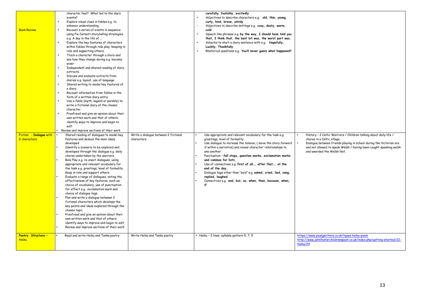| <b>Book Review</b><br>Fiction - Dialogue with<br>2 characters | character feel? What led to the day's<br>events?<br>Explore visual clues in fables e.g. to<br>enhance understanding.<br>Recount a series of events in sequence<br>using Pie Corbett storytelling strategies<br>e.g. A day in the life of<br>Explore the key features of characters<br>within fables through role play; keeping in<br>role and supporting others.<br>Track a character through a story and<br>see how they change during e.g. become<br>wiser<br>Independent and shared reading of diary<br>$\bullet$<br>extracts.<br>Discuss and evaluate extracts from<br>$\bullet$<br>diaries e.g. layout, use of language<br>Shared writing to model key features of<br>$\bullet$<br>a diary.<br>Recount information from fables in the<br>form of a written diary entry.<br>Use a fable (myth, legend or parable) to<br>$\bullet$<br>write a fictional diary of the chosen<br>character.<br>Proofread and give an opinion about their<br>own written work and that of others;<br>identify ways to improve and begin to<br>edit<br>Review and improve sections of their work<br>Shared reading of dialogues to model key<br>features and deduce the main ideas<br>developed<br>Identify a scenario to be explored and<br>developed through the dialogue e.g. daily<br>chores undertaken by the warriors.<br>Role Play e.g. re-enact dialogues, using<br>appropriate and relevant vocabulary for<br>the task e.g. greetings, level of formality.<br>Keep in role and support others.<br>Evaluate a range of dialogues, noting the<br>effectiveness of key features, such as;<br>choice of vocabulary, use of punctuation<br>for effect e.g. exclamation mark and<br>choice of dialogue tags.<br>Plan and write a dialogue between 2<br>fictional characters which develops the<br>key points and ideas explored through the<br>chosen topic<br>Proofread and give an opinion about their<br>own written work and that of others; | Write a dialogue between 2 fictional<br>characters. | carefully, foolishly, excitedly<br>Adjectives to describe characters e.g. old, thin, young,<br>curly, kind, brave, untidy<br>Adjectives to describe settings e.g. cosy, dusty, warm,<br>cold<br>Speech like phrases e.g. by the way, I should have told you<br>that, I think that, the best bit was, the worst part was.<br>Adverbs to start a diary sentence with e.g. Hopefully,<br>Luckily, Thankfully.<br>Rhetorical questions e.g. You'll never guess what happened?<br>Use appropriate and relevant vocabulary for the task e.g.<br>greetings, level of formality<br>Use dialogue to increase the tension, (move the story forward<br>if within a narrative) and reveal character' relationships to<br>one another.<br>Punctuation - full stops, question marks, exclamation marks<br>and commas for lists.<br>Use of connectives e.g. first of all, after that, at the<br>end of the day<br>Dialogue tags other than "said" e.g. asked, cried, lied, sang,<br>replied, laughed<br>Connectives e.g. and, but, so, when, then, because, when,<br>if | History - 2 Celtic Warriors / Children talking about daily life /<br>chores in a Celtic village.<br>Dialogue between friends playing in school during the Victorian era<br>and not allowed to speak Welsh / having been caught speaking welsh<br>and awarded the Welsh Not. |
|---------------------------------------------------------------|------------------------------------------------------------------------------------------------------------------------------------------------------------------------------------------------------------------------------------------------------------------------------------------------------------------------------------------------------------------------------------------------------------------------------------------------------------------------------------------------------------------------------------------------------------------------------------------------------------------------------------------------------------------------------------------------------------------------------------------------------------------------------------------------------------------------------------------------------------------------------------------------------------------------------------------------------------------------------------------------------------------------------------------------------------------------------------------------------------------------------------------------------------------------------------------------------------------------------------------------------------------------------------------------------------------------------------------------------------------------------------------------------------------------------------------------------------------------------------------------------------------------------------------------------------------------------------------------------------------------------------------------------------------------------------------------------------------------------------------------------------------------------------------------------------------------------------------------------------------------------------------------------------------------------------|-----------------------------------------------------|----------------------------------------------------------------------------------------------------------------------------------------------------------------------------------------------------------------------------------------------------------------------------------------------------------------------------------------------------------------------------------------------------------------------------------------------------------------------------------------------------------------------------------------------------------------------------------------------------------------------------------------------------------------------------------------------------------------------------------------------------------------------------------------------------------------------------------------------------------------------------------------------------------------------------------------------------------------------------------------------------------------------------------------------------------|-----------------------------------------------------------------------------------------------------------------------------------------------------------------------------------------------------------------------------------------------------------------------------|
| Poetry Structure -<br><b>Haiku</b>                            | identify ways to improve and begin to edit<br>Review and improve sections of their work<br>Read and write Haiku and Tanka poetry                                                                                                                                                                                                                                                                                                                                                                                                                                                                                                                                                                                                                                                                                                                                                                                                                                                                                                                                                                                                                                                                                                                                                                                                                                                                                                                                                                                                                                                                                                                                                                                                                                                                                                                                                                                                   | Write Haiku and Tanka poetry                        | Haiku - 3 lines: syllable pattern 5, 7, 5                                                                                                                                                                                                                                                                                                                                                                                                                                                                                                                                                                                                                                                                                                                                                                                                                                                                                                                                                                                                                | https://www.youngwriters.co.uk/types-haiku-poem<br>http://www.johnfosterchildrenspoet.co.uk/index.php/getting-started/22-<br>haiku/24                                                                                                                                       |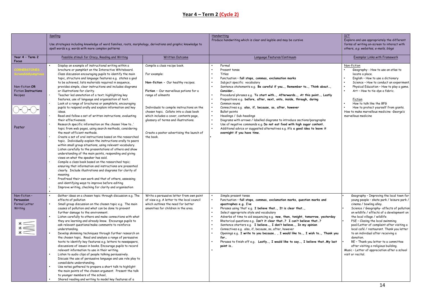### **Year 4 – Term 2 (Cycle 2)**

|                                                                    | Spelling                                                                                                                                                                                                                                                                                                                                                                                                                                                                                                                                                                                                                                                                                                                                                                                                                                                                                                                                                                                                                                                                                                                                                                                                                                                                                                                                                                                                                                                                                                                                                                                                   |                                                                                                                                                                                                                                                                                                                                                                                        | Handwriting                                                                                                                                                                                                                                                                                                                                                                                                                                                                                                                                                                                                                                                                                                                                                          | ICT                                                                                                                                                                                                                                                                                                                                                                                                                                                                                      |
|--------------------------------------------------------------------|------------------------------------------------------------------------------------------------------------------------------------------------------------------------------------------------------------------------------------------------------------------------------------------------------------------------------------------------------------------------------------------------------------------------------------------------------------------------------------------------------------------------------------------------------------------------------------------------------------------------------------------------------------------------------------------------------------------------------------------------------------------------------------------------------------------------------------------------------------------------------------------------------------------------------------------------------------------------------------------------------------------------------------------------------------------------------------------------------------------------------------------------------------------------------------------------------------------------------------------------------------------------------------------------------------------------------------------------------------------------------------------------------------------------------------------------------------------------------------------------------------------------------------------------------------------------------------------------------------|----------------------------------------------------------------------------------------------------------------------------------------------------------------------------------------------------------------------------------------------------------------------------------------------------------------------------------------------------------------------------------------|----------------------------------------------------------------------------------------------------------------------------------------------------------------------------------------------------------------------------------------------------------------------------------------------------------------------------------------------------------------------------------------------------------------------------------------------------------------------------------------------------------------------------------------------------------------------------------------------------------------------------------------------------------------------------------------------------------------------------------------------------------------------|------------------------------------------------------------------------------------------------------------------------------------------------------------------------------------------------------------------------------------------------------------------------------------------------------------------------------------------------------------------------------------------------------------------------------------------------------------------------------------------|
|                                                                    | Use strategies including knowledge of word families, roots, morphology, derivations and graphic knowledge to<br>spell words e.g. words with more complex patterns                                                                                                                                                                                                                                                                                                                                                                                                                                                                                                                                                                                                                                                                                                                                                                                                                                                                                                                                                                                                                                                                                                                                                                                                                                                                                                                                                                                                                                          |                                                                                                                                                                                                                                                                                                                                                                                        | Produce handwriting which is clear and legible and may be cursive                                                                                                                                                                                                                                                                                                                                                                                                                                                                                                                                                                                                                                                                                                    | Explore and use appropriately the different<br>forms of writing on-screen to interact with<br>others, e.g. websites, e-mails, blogs                                                                                                                                                                                                                                                                                                                                                      |
| Year 4 - Term 2<br>Focus                                           | Possible stimuli for Oracy, Reading and Writing                                                                                                                                                                                                                                                                                                                                                                                                                                                                                                                                                                                                                                                                                                                                                                                                                                                                                                                                                                                                                                                                                                                                                                                                                                                                                                                                                                                                                                                                                                                                                            | <b>Written Outcome</b>                                                                                                                                                                                                                                                                                                                                                                 | Language Features/Continuum                                                                                                                                                                                                                                                                                                                                                                                                                                                                                                                                                                                                                                                                                                                                          | <b>Exemplar Links with Framework</b>                                                                                                                                                                                                                                                                                                                                                                                                                                                     |
| Non-fiction OR<br><b>Fiction Instructions</b><br>Recipes<br>Poster | Display an example of instructional writing within a<br>brochure or pamphlet on the Interactive Whiteboard.<br>Class discussion encouraging pupils to identify the main<br>topic, structure and language features e.g. states a goal<br>to be achieved, lists materials required in sequence,<br>provides simple, clear instructions and includes diagrams<br>or illustrations for clarity.<br>Teacher led annotation of a text; highlighting key<br>features, use of language and organisation of text.<br>Look at a range of brochures or pamphlets, encouraging<br>pupils to respond orally and explain information and key<br>ideas.<br>Read and follow a set of written instructions, evaluating<br>their effectiveness.<br>Research specific information on the chosen 'How to'<br>topic from web pages, using search methods, considering<br>the most efficient methods.<br>Create a set of oral instructions based on the researched<br>topic. Individually explain the instructions orally to peers<br>within small group situations, using relevant vocabulary.<br>Listen carefully to the presentations of others and show<br>understanding of the main points, responding and giving<br>views on what the speaker has said.<br>Compile a class book based on the researched topic;<br>ensuring that information and instructions are presented<br>clearly. Include illustrations and diagrams for clarity of<br>meaning.<br>Proofread their own work and that of others, assessing<br>and identifying ways to improve before editing<br>Improve writing, checking for clarity and organisation | Compile a class recipe book.<br>For example:<br>Non-fiction - Our healthy recipes.<br>Fiction - Our marvellous potions for a<br>range of ailments<br>Individuals to compile instructions on the<br>chosen topic. Collate into a class book<br>which includes a cover, contents page,<br>glossary of terms and illustrations.<br>Create a poster advertising the launch of<br>the book. | Formal<br>Present tense<br>Titles<br>Punctuation - full stops, commas, exclamation marks<br>Subject specific vocabulary<br>Sentence statements e.g. Be careful if you, Remember to, Think about,<br>Consider<br>Procedural phrases e.g. To start with, Afterwards, At this point, Lastly<br>Prepositions e.g. before, after, next, onto, inside, through, during<br>Common nouns<br>Connectives e.g. also, if, because, so, after, however<br><b>Bullet points</b><br>Headings / Sub-headings<br>Diagrams with arrows / labelled diagrams to introduce sections/paragraphs<br>Use of negative commands e.g. Do not eat food with high sugar content.<br>Additional advice or suggested alternatives e.g. it's a good idea to leave it<br>overnight if you have time. | Non-fiction<br>Geography - How to use an atlas to<br>locate a place.<br>English - How to use a dictionary<br>Science - How to conduct an experiment.<br>Physical Education - How to play a game.<br>$\bullet$<br>Art - How to tie-dye a fabric.<br>Fiction<br>How to talk like the BFG<br>How to protect yourself from giants.<br>How to make marvellous medicine -George's<br>marvellous medicine                                                                                       |
| Non-fiction-<br>Persuasion                                         | Gather ideas on a chosen topic through discussion e.g. The<br>effects of pollution                                                                                                                                                                                                                                                                                                                                                                                                                                                                                                                                                                                                                                                                                                                                                                                                                                                                                                                                                                                                                                                                                                                                                                                                                                                                                                                                                                                                                                                                                                                         | Write a persuasive letter from own point<br>of view e.g. A letter to the local council                                                                                                                                                                                                                                                                                                 | Simple present tense<br>Punctuation - full stops, commas, exclamation marks, question marks and                                                                                                                                                                                                                                                                                                                                                                                                                                                                                                                                                                                                                                                                      | Geography - Improving the local town for<br>young people - skate park / leisure park /                                                                                                                                                                                                                                                                                                                                                                                                   |
| Formal Letter<br>Writing                                           | Small group discussion on the chosen topic e.g. The main<br>causes of pollution and what can be done to prevent<br>further damage to the environment.<br>Listen carefully to others and make connections with what<br>they are learning and already know. Encourage pupils to<br>ask relevant questions/make comments to reinforce<br>understanding.<br>Develop skimming techniques through further research on<br>the chosen topic. Read and analyse a range of persuasive<br>texts to identify key features e.g. letters to newspapers,<br>discussions of issues in books. Encourage pupils to record<br>relevant information to use in their writing.<br>Listen to audio clips of people talking persuasively.<br>Discuss the use of persuasive language and use role play to<br>consolidate understanding.<br>Use notes gathered to prepare a short talk to highlight<br>the main points of the chosen argument. Present the talk<br>to younger members of the school,<br>Shared reading and writing to model key features of a                                                                                                                                                                                                                                                                                                                                                                                                                                                                                                                                                                        | which outlines the need for better<br>amenities for children in the area.                                                                                                                                                                                                                                                                                                              | apostrophes e.g. I've<br>Phrases using 'that' e.g. I believe that, It is clear that,<br>Select appropriate style and vocabulary<br>Adverbs of time to aid sequencing e.g. now, then, tonight, tomorrow, yesterday<br>Rhetorical questions e.g. Isn't it clear that? I can't believe that?<br>Sentence starters e.g. I believe, I don't believe, In my opinion<br>Connectives e.g. also, if, because, so, after, however<br>Openings e.g. I write to you because, I would like to, I wish to, Thank you<br>for<br>Phrases to finish off e.g. Lastly, I would like to say, I believe thatMy last<br>point is                                                                                                                                                           | cinema / bowling alley.<br>Science / Geography- effects of pollution<br>on wildlife / effects of a development on<br>the local village / wildlife<br>PSE - Closing the local swimming<br>pool/Letter of complaint after visiting a<br>local café / restaurant. Thank you letter<br>to an individual after receiving a<br>donation.<br>RE - Thank you letter to a committee<br>after visiting a religious building.<br>Music - Letter of appreciation after a school<br>visit or recital. |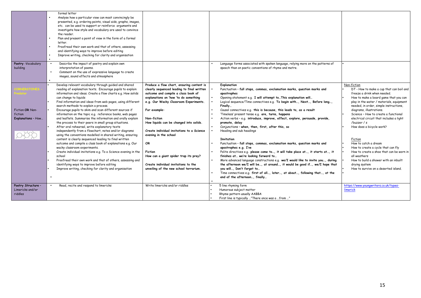|                                                   | formal letter<br>Analyse how a particular view can most convincingly be<br>presented, e.g. ordering points, visual aids, graphs, images,<br>etc. can be used to support or reinforce arguments and<br>investigate how style and vocabulary are used to convince<br>the reader.<br>Plan and present a point of view in the form of a formal<br>letter.<br>Proofread their own work and that of others, assessing<br>and identifying ways to improve before editing<br>Improve writing, checking for clarity and organisation                                                                                                                                                                                                                                                                                                                                                                                                                                                                                                                                                                                                                   |                                                                                                                                                                                                                                                                                                                                                                                                                                                                                                                      |                                                                                                                                                                                                                                                                                                                                                                                                                                                                                                                                                                                                                                                                                                                                                                                                                                                                                                                                                                                                                                                                                                                                                    |                                                                                                                                                                                                                                                                                                                                                                                                                                                                                                                                                                                                                         |
|---------------------------------------------------|-----------------------------------------------------------------------------------------------------------------------------------------------------------------------------------------------------------------------------------------------------------------------------------------------------------------------------------------------------------------------------------------------------------------------------------------------------------------------------------------------------------------------------------------------------------------------------------------------------------------------------------------------------------------------------------------------------------------------------------------------------------------------------------------------------------------------------------------------------------------------------------------------------------------------------------------------------------------------------------------------------------------------------------------------------------------------------------------------------------------------------------------------|----------------------------------------------------------------------------------------------------------------------------------------------------------------------------------------------------------------------------------------------------------------------------------------------------------------------------------------------------------------------------------------------------------------------------------------------------------------------------------------------------------------------|----------------------------------------------------------------------------------------------------------------------------------------------------------------------------------------------------------------------------------------------------------------------------------------------------------------------------------------------------------------------------------------------------------------------------------------------------------------------------------------------------------------------------------------------------------------------------------------------------------------------------------------------------------------------------------------------------------------------------------------------------------------------------------------------------------------------------------------------------------------------------------------------------------------------------------------------------------------------------------------------------------------------------------------------------------------------------------------------------------------------------------------------------|-------------------------------------------------------------------------------------------------------------------------------------------------------------------------------------------------------------------------------------------------------------------------------------------------------------------------------------------------------------------------------------------------------------------------------------------------------------------------------------------------------------------------------------------------------------------------------------------------------------------------|
| Poetry - Vocabulary<br>building                   | Describe the impact of poetry and explain own<br>interpretation of poems.<br>Comment on the use of expressive language to create<br>images, sound effects and atmosphere                                                                                                                                                                                                                                                                                                                                                                                                                                                                                                                                                                                                                                                                                                                                                                                                                                                                                                                                                                      |                                                                                                                                                                                                                                                                                                                                                                                                                                                                                                                      | Language forms associated with spoken language, relying more on the patterns of<br>speech than on poetic conventions of rhyme and metre.                                                                                                                                                                                                                                                                                                                                                                                                                                                                                                                                                                                                                                                                                                                                                                                                                                                                                                                                                                                                           |                                                                                                                                                                                                                                                                                                                                                                                                                                                                                                                                                                                                                         |
| Fiction OR Non-<br>fiction<br>Explanations - How  | Develop relevant vocabulary through guided and shared<br>reading of explanation texts. Encourage pupils to explain<br>information and ideas. Create a flow charts e.g. How solids<br>can change to liquids<br>Find information and ideas from web pages, using different<br>search methods to explain a process.<br>Encourage pupils to skim and scan different sources if<br>information on the topic e.g. reference books, web pages<br>and leaflets. Summarise the information and orally explain<br>the process to their peers in small group situations.<br>After oral rehearsal, write explanatory texts<br>independently from a flowchart, notes and/or diagrams<br>using the conventions modelled in shared writing, ensuring<br>content is clearly sequenced leading to final written<br>outcome and compile a class book of explanations e.g. Our<br>wacky classroom experiments.<br>Create individual invitations e.g. To a Science evening in the<br>school<br>Proofread their own work and that of others, assessing and<br>identifying ways to improve before editing<br>Improve writing, checking for clarity and organisation | Produce a flow chart, ensuring content is<br>clearly sequenced leading to final written<br>outcome and compile a class book of<br>explanations on 'how 'to do something<br>e.g. Our Wacky Classroom Experiments.<br>For example:<br>Non-fiction<br>How liquids can be changed into solids.<br>Create individual invitations to a Science<br>evening in the school<br>OR<br><b>Fiction</b><br>How can a giant spider trap its prey?<br>Create individual invitations to the<br>unveiling of the new school terrarium. | <b>Explanation</b><br>Punctuation - full stops, commas, exclamation marks, question marks and<br>apostrophes<br>Opening statement e.g. I will attempt toThis explanation will<br>Logical sequence/Time connectives e.g. To begin with, Next, Before long,<br>Finally<br>Causal connectives e.g. this is because, this leads to, as a result<br>'Timeless' present tense e.g. are, turns, happens<br>Action verbs - e.g. introduce, improve, effect, explore, persuade, provide,<br>promote, delay<br>Conjunctions - when, then, first, after this, so<br>Heading and sub headings<br><b>Invitation</b><br>Punctuation - full stops, commas, exclamation marks, question marks and<br>apostrophes e.g. I've<br>Polite directives e.g. please come to, it will take place at, it starts at, it<br>finishes at we're looking forward to<br>More advanced language constructions e.g. we/I would like to invite you, during<br>the afternoon we/I will be, at around, it would be good if, we/I hope that<br>you will, Don't forget to<br>Time connectives e.g. first of all, later, at about, following that, at the<br>end of the afternoon, finally | Non-fiction<br>DT - How to make a cup that can boil and<br>freeze a drink when needed.<br>How to make a board game that you can<br>play in the water / materials, equipment<br>needed, in order, simple instructions,<br>diagrams, illustrations.<br>Science - How to create a functional<br>electrical circuit that includes a light<br>/buzzer / s<br>How does a bicycle work?<br>Fiction<br>How to catch a dream<br>How to create a cycle that can fly<br>How to create a shoe that can be worn in<br>all weathers<br>How to build a shower with an inbuilt<br>drying system<br>How to survive on a deserted island. |
| Poetry Structure -<br>Limericks and/or<br>riddles | Read, recite and respond to limericks                                                                                                                                                                                                                                                                                                                                                                                                                                                                                                                                                                                                                                                                                                                                                                                                                                                                                                                                                                                                                                                                                                         | Write limericks and/or riddles                                                                                                                                                                                                                                                                                                                                                                                                                                                                                       | 5 line rhyming form<br>Humorous subject matter<br>Rhyme pattern usually AABBA<br>First line is typically "There once was a from "                                                                                                                                                                                                                                                                                                                                                                                                                                                                                                                                                                                                                                                                                                                                                                                                                                                                                                                                                                                                                  | https://www.youngwriters.co.uk/types-<br>limerick                                                                                                                                                                                                                                                                                                                                                                                                                                                                                                                                                                       |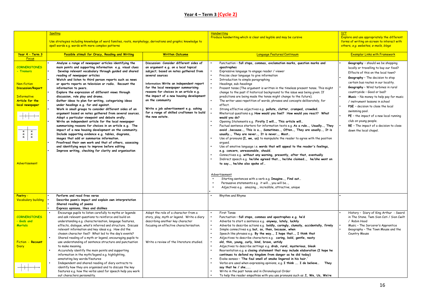### **Year 4 – Term 3 (Cycle 2)**

|                            | <b>Spelling</b>                                                                                                  |                                                                                    | Handwritina                                                                                                                                     | <b>ICT</b>                                               |
|----------------------------|------------------------------------------------------------------------------------------------------------------|------------------------------------------------------------------------------------|-------------------------------------------------------------------------------------------------------------------------------------------------|----------------------------------------------------------|
|                            |                                                                                                                  |                                                                                    | Produce handwriting which is clear and legible and may be cursive                                                                               | Explore and use appropriately the different              |
|                            | Use strategies including knowledge of word families, roots, morphology, derivations and graphic knowledge to     |                                                                                    |                                                                                                                                                 | forms of writing on-screen to interact with              |
|                            | spell words e.g. words with more complex patterns                                                                |                                                                                    |                                                                                                                                                 | others, e.g. websites, e-mails, blogs                    |
| Year 4 - Term 3            | Possible stimuli for Oracy, Reading and Writing                                                                  | <b>Written Outcome</b>                                                             | Language Features/Continuum                                                                                                                     | <b>Exemplar Links with Framework</b>                     |
| Focus                      |                                                                                                                  |                                                                                    |                                                                                                                                                 |                                                          |
|                            | Analyse a range of newspaper articles identifying the                                                            | Discussion: Consider different sides of                                            | Punctuation - full stops, commas, exclamation marks, question marks and                                                                         | Geography - should we be shopping                        |
| <b>CORNERSTONES</b>        | main points and supporting information e.g. visual clues                                                         | an argument e.g. on a local topical                                                | apostrophes                                                                                                                                     | locally or travelling to buy our food?                   |
| - Tremors                  | Develop relevant vocabulary through guided and shared                                                            | subject; based on notes gathered from                                              | Expressive language to engage reader / viewer                                                                                                   | Effects of this on the local town?                       |
|                            | reading of newspaper articles                                                                                    | several sources                                                                    | Precise clear language to give information                                                                                                      | Geography - The decision to stop                         |
|                            | Watch and listen to third person reports such as news                                                            |                                                                                    | Introduction to simple paragraphing                                                                                                             |                                                          |
| Non-fiction                | or sports reports on television or radio. Recount the                                                            | Information: Write an independent report                                           | Headings, sub-headings                                                                                                                          | certain bus routes in our locality.                      |
| <b>Discussion/Report</b>   | information to peers.                                                                                            | for the local newspaper summarising                                                | Present tense (The argument is written in the timeless present tense. This might                                                                | Geography - Wind turbines in rural                       |
|                            | Explore the expression of different views through                                                                | reasons for choices in an article e.g.                                             | change to the past if historical background to the issue was being given. If                                                                    | countryside - Good or bad?                               |
| <b>Informative</b>         | discussion, role play and drama.                                                                                 | the impact of a new housing development                                            | predictions are being made the tense might change to the future).                                                                               | Music - No money to help pay for music                   |
| <b>Article for the</b>     | Gather ideas to plan for writing, categorising ideas                                                             | on the community                                                                   | The writer uses repetition of words, phrases and concepts deliberately, for                                                                     | / instrument lessons in school                           |
| local newspaper            | under headings e.g. for and against.                                                                             |                                                                                    | effect.                                                                                                                                         | PSE - decision to close the local                        |
|                            | Work in small groups to consider different sides of an<br>argument based on notes gathered from several sources. | Write a job advertisement e.g. asking<br>for a range of skilled craftsmen to build | Strong effective adjectives e.g. pollute, clutter, cramped, crowded.<br>Rhetorical questions e.g. How would you feel? How would you react? What | swimming pool.                                           |
|                            | Adopt a particular viewpoint and debate orally.                                                                  | the new estate.                                                                    | would you do?                                                                                                                                   | $PE - the impact of a new local running$                 |
|                            | Write an independent article for the local newspaper                                                             |                                                                                    | Opening Statements e.g. Firstly I will, This article will                                                                                       | club on young people.                                    |
|                            | summarising reasons for choices in an article e.g. The                                                           |                                                                                    | Factual sentence starters for information texts e.g. As a rule, Usually, They                                                                   | RE - The impact of a decision to close                   |
|                            | impact of a new housing development on the community.                                                            |                                                                                    | avoid because, This is a, Sometimes, Often, They are usually, It is                                                                             | down the local chapel.                                   |
| * * *<br>$* *$             | Include supporting evidence e.g. tables, diagrams,                                                               |                                                                                    | usually, They are never, It is never, Most                                                                                                      |                                                          |
|                            | images that add or summarise information.                                                                        |                                                                                    | Use of pronouns (I, we, us) to manipulate the reader to agree with the position                                                                 |                                                          |
|                            | Proofread their own work and that of others, assessing                                                           |                                                                                    | argued.                                                                                                                                         |                                                          |
|                            | and identifying ways to improve before editing                                                                   |                                                                                    | Use of emotive language i.e. words that will appeal to the reader's feelings,                                                                   |                                                          |
|                            | Improve writing, checking for clarity and organisation                                                           |                                                                                    | e.g. concern, unreasonable, should.                                                                                                             |                                                          |
|                            |                                                                                                                  |                                                                                    | Connectives e.g. without any warning, presently, after that, eventually                                                                         |                                                          |
|                            |                                                                                                                  |                                                                                    | Indirect speech e.g. he/she agreed that, he/she claimed, he/she went on                                                                         |                                                          |
| Advertisement              |                                                                                                                  |                                                                                    | to say, he/she also spoke of                                                                                                                    |                                                          |
|                            |                                                                                                                  |                                                                                    |                                                                                                                                                 |                                                          |
|                            |                                                                                                                  |                                                                                    | Advertisement                                                                                                                                   |                                                          |
|                            |                                                                                                                  |                                                                                    | Starting sentences with a verb e.g. Imagine, Find out                                                                                           |                                                          |
|                            |                                                                                                                  |                                                                                    | Persuasive statements e.g. it will, you will be,                                                                                                |                                                          |
|                            |                                                                                                                  |                                                                                    | Adjectives e.g. amazing, incredible, attractive, unique                                                                                         |                                                          |
|                            |                                                                                                                  |                                                                                    |                                                                                                                                                 |                                                          |
| Poetry -                   | Perform and read free verse                                                                                      |                                                                                    | Rhythm and Rhyme                                                                                                                                |                                                          |
| <b>Vocabulary building</b> | Describe poem's impact and explain own interpretation                                                            |                                                                                    |                                                                                                                                                 |                                                          |
|                            | Shared reading of poems                                                                                          |                                                                                    |                                                                                                                                                 |                                                          |
|                            | Express opinions, likes and dislikes                                                                             |                                                                                    |                                                                                                                                                 |                                                          |
| <b>CORNERSTONES</b>        | Encourage pupils to listen carefully to myths or legends                                                         | Adopt the role of a character from a                                               | First Tense                                                                                                                                     | History - Diary of King Arthur - Sword                   |
| - Gods and                 | and ask relevant questions to reinforce and build on<br>understanding e.g. characterisation, language features,  | story, play, myth or legend. Write a diary<br>describing another key character     | Punctuation - full stops, commas and apostrophes e.g. he'd<br>Adverbs to start a sentence e.g. anyway, lately, luckily                          | in The Stone, Twm Sion Cati / Sion Cwilt<br>/ Robin Hood |
| <b>Mortals</b>             | effects, dialogue, what's inferred and structure. Discuss                                                        | focusing on effective characterisation.                                            | Adverbs to describe actions e.g. boldly, caringly, clumsily, accidentally, firmly                                                               | Music - The Sorcerer's Apprentice                        |
|                            | relevant information and key ideas e.g. How did the                                                              |                                                                                    | Simple connectives e.g. but, so, then, because, when                                                                                            | Geography - The Town Mouse and the                       |
|                            | chosen character feel? What led to the day's events?                                                             |                                                                                    | Speech like phrases e.g. By the way, I hope that, I think that                                                                                  | Country Mouse                                            |
|                            | Shared reading of a myth or legend, encouraging pupils to                                                        |                                                                                    | Adjectives to describe characters e.g. caring, bold, gentle, nasty                                                                              |                                                          |
| Fiction - Recount          | use understanding of sentence structure and punctuation                                                          | Write a review of the literature studied.                                          | old, thin, young, curly, kind, brave, untidy                                                                                                    |                                                          |
| <b>Diary</b>               | to make meaning                                                                                                  |                                                                                    | Adjectives to describe settings e.g. drab, rural, mysterious, bleak                                                                             |                                                          |
|                            | Accurately identify the main points and supporting                                                               |                                                                                    | Reorientation e.g. a closing statement that may include elaboration (I hope he                                                                  |                                                          |
|                            | information in the myth/legend e.g. highlighting,                                                                |                                                                                    | continues to defend my kingdom from danger as he did today)                                                                                     |                                                          |
|                            | annotating key words/features                                                                                    |                                                                                    | Evoke senses - 'The foul smell of smoke lingered in his hair.'                                                                                  |                                                          |
|                            | Independent and shared reading of diary extracts to                                                              |                                                                                    | Verbs are used when expressing opinions, e.g. I think  I do believe They                                                                        |                                                          |
|                            | identify how they are organised and to discuss the key                                                           |                                                                                    | say that he / she                                                                                                                               |                                                          |
|                            | features e.g. how the verbs used for speech help you work                                                        |                                                                                    | Write in the past tense and in Chronological Order                                                                                              |                                                          |
|                            | out characters personality.                                                                                      |                                                                                    | To help the reader empathise with you use pronouns such as .I. We, Us, We're                                                                    |                                                          |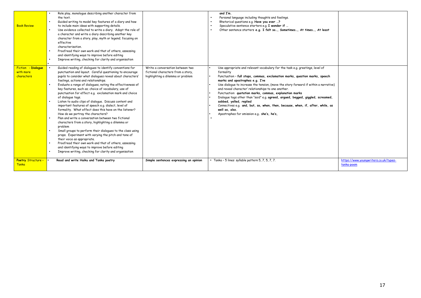| <b>Poetry Structure -</b><br><b>Tanka</b>     | Read and write Haiku and Tanka poetry                                                                                                                                                                                                                                                                                                                                                                                                                                                                                                                                                                                                                                                                                                                                                                                                                                                                                                                                                                                                                                                             | Simple sentences expressing an opinion                                                                      | • Tanka - 5 lines: syllable pattern 5, 7, 5, 7, 7.                                                                                                                                                                                                                                                                                                                                                                                                                                                                                                                                                                                                                                     | https://www.youngwriters.co.uk/types-<br>tanka-poem |
|-----------------------------------------------|---------------------------------------------------------------------------------------------------------------------------------------------------------------------------------------------------------------------------------------------------------------------------------------------------------------------------------------------------------------------------------------------------------------------------------------------------------------------------------------------------------------------------------------------------------------------------------------------------------------------------------------------------------------------------------------------------------------------------------------------------------------------------------------------------------------------------------------------------------------------------------------------------------------------------------------------------------------------------------------------------------------------------------------------------------------------------------------------------|-------------------------------------------------------------------------------------------------------------|----------------------------------------------------------------------------------------------------------------------------------------------------------------------------------------------------------------------------------------------------------------------------------------------------------------------------------------------------------------------------------------------------------------------------------------------------------------------------------------------------------------------------------------------------------------------------------------------------------------------------------------------------------------------------------------|-----------------------------------------------------|
| Fiction - Dialogue<br>with more<br>characters | Guided reading of dialogues to identify conventions for<br>punctuation and layout. Careful questioning to encourage<br>pupils to consider what dialogues reveal about characters'<br>feelings, actions and relationships.<br>Evaluate a range of dialogues, noting the effectiveness of<br>key features, such as; choice of vocabulary, use of<br>punctuation for effect e.g. exclamation mark and choice<br>of dialogue tags.<br>Listen to audio clips of dialogue. Discuss content and<br>important features of speech e.g. dialect, level of<br>formality. What effect does this have on the listener?<br>How do we portray the characters?<br>Plan and write a conversation between two fictional<br>characters from a story, highlighting a dilemma or<br>problem<br>Small groups to perform their dialogues to the class using<br>props. Experiment with varying the pitch and tone of<br>their voice as appropriate.<br>Proofread their own work and that of others, assessing<br>and identifying ways to improve before editing<br>Improve writing, checking for clarity and organisation | Write a conversation between two<br>fictional characters from a story,<br>highlighting a dilemma or problem | Use appropriate and relevant vocabulary for the task e.g. greetings, level of<br>formality<br>Punctuation - full stops, commas, exclamation marks, question marks, speech<br>marks and apostrophes e.g. I've<br>Use dialogue to increase the tension, (move the story forward if within a narrative)<br>and reveal character' relationships to one another.<br>Punctuation: quotation marks, commas, explanation marks<br>Dialoque tags other than "said" e.g. agreed, argued, begged, giggled, screamed,<br>sobbed, yelled, replied<br>Connectives e.g. and, but, so, when, then, because, when, if, after, while, as<br>well as, also.<br>Apostrophes for omission e.g. she's, he's, |                                                     |
| <b>Book Review</b>                            | Role play, monologue describing another character from<br>the text.<br>Guided writing to model key features of a diary and how<br>to include main ideas with supporting details.<br>Use evidence collected to write a diary. Adopt the role of<br>a character and write a diary describing another key<br>character from a story, play, myth or legend; focusing on<br>effective<br>characterisation<br>Proofread their own work and that of others, assessing<br>and identifying ways to improve before editing<br>Improve writing, checking for clarity and organisation                                                                                                                                                                                                                                                                                                                                                                                                                                                                                                                        |                                                                                                             | and I'm.<br>Personal language including thoughts and feelings.<br>Rhetorical questions e.g. Have you ever ?<br>Speculative sentence starters e.g. I wonder if<br>Other sentence starters e.g. I felt so, Sometimes, At times, At least                                                                                                                                                                                                                                                                                                                                                                                                                                                 |                                                     |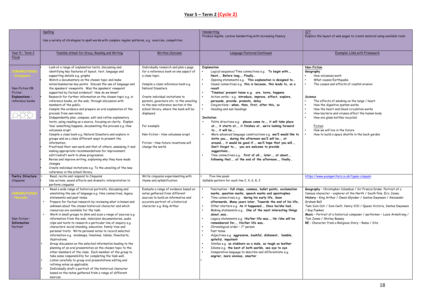### **Year 5 – Term 2 (Cycle 2)**

| Spelling                                                                                                                                                                                                                                                                                                                                                                                                                                                                                                                                                                                                                                                                                                                                                                                                                                                                                                                                                                                                                                                                                                                                                                                                                                                                                                                      |                                                                                                                                                                                                                                                                                                                                                                                                                                                                 | Handwriting                                                                                                                                                                                                                                                                                                                                                                                                                                                                                                                                                                                                                                                                                                                                                                                                                                                                                                                                                                                              | <b>ICT</b><br>Explore the layout of web pages to create material using available tools                                                                                                                                                                                                                                                                                                                                                                                                     |
|-------------------------------------------------------------------------------------------------------------------------------------------------------------------------------------------------------------------------------------------------------------------------------------------------------------------------------------------------------------------------------------------------------------------------------------------------------------------------------------------------------------------------------------------------------------------------------------------------------------------------------------------------------------------------------------------------------------------------------------------------------------------------------------------------------------------------------------------------------------------------------------------------------------------------------------------------------------------------------------------------------------------------------------------------------------------------------------------------------------------------------------------------------------------------------------------------------------------------------------------------------------------------------------------------------------------------------|-----------------------------------------------------------------------------------------------------------------------------------------------------------------------------------------------------------------------------------------------------------------------------------------------------------------------------------------------------------------------------------------------------------------------------------------------------------------|----------------------------------------------------------------------------------------------------------------------------------------------------------------------------------------------------------------------------------------------------------------------------------------------------------------------------------------------------------------------------------------------------------------------------------------------------------------------------------------------------------------------------------------------------------------------------------------------------------------------------------------------------------------------------------------------------------------------------------------------------------------------------------------------------------------------------------------------------------------------------------------------------------------------------------------------------------------------------------------------------------|--------------------------------------------------------------------------------------------------------------------------------------------------------------------------------------------------------------------------------------------------------------------------------------------------------------------------------------------------------------------------------------------------------------------------------------------------------------------------------------------|
|                                                                                                                                                                                                                                                                                                                                                                                                                                                                                                                                                                                                                                                                                                                                                                                                                                                                                                                                                                                                                                                                                                                                                                                                                                                                                                                               |                                                                                                                                                                                                                                                                                                                                                                                                                                                                 |                                                                                                                                                                                                                                                                                                                                                                                                                                                                                                                                                                                                                                                                                                                                                                                                                                                                                                                                                                                                          |                                                                                                                                                                                                                                                                                                                                                                                                                                                                                            |
| Possible stimuli for Oracy, Reading and Writing                                                                                                                                                                                                                                                                                                                                                                                                                                                                                                                                                                                                                                                                                                                                                                                                                                                                                                                                                                                                                                                                                                                                                                                                                                                                               | <b>Written Outcome</b>                                                                                                                                                                                                                                                                                                                                                                                                                                          | Language Features/Continuum                                                                                                                                                                                                                                                                                                                                                                                                                                                                                                                                                                                                                                                                                                                                                                                                                                                                                                                                                                              | <b>Exemplar Links with Framework</b>                                                                                                                                                                                                                                                                                                                                                                                                                                                       |
| Look at a range of explanation texts; discussing and<br>identifying key features of layout, text, language and<br>supporting details e.g. graphs<br>Watch a documentary on the chosen topic and make<br>notes/summarise key points. Discuss the use of language and<br>the speakers' viewpoints. Was the speakers' viewpoint<br>supported by factual evidence? How do we know?<br>Research for further information on the chosen topic e.g. in<br>reference books, on the web, through discussion with<br>members of the public.<br>Compile the evidence and prepare an oral explanation of the<br>process from own notes.<br>Independently plan, compose, edit and refine explanatory<br>texts, using reading as a source, focusing on clarity. Explain<br>'how' something happens, documenting the process e.g. How<br>volcanoes erupt.<br>Compile a class book e.g. Natural Disasters and explore in<br>groups and as a class different ways to present the<br>information,<br>Proofread their own work and that of others, assessing it and<br>making appropriate recommendations for improvement;<br>edit/redraft work to show progression.<br>Revise and improve writing, explaining why they have made<br>changes<br>Create individual invitations e.g. To the unveiling of the new<br>reference in the school library | Individually research and plan a page<br>for a reference book on one aspect of<br>a class topic.<br>Compile a class reference book e.g.<br>Natural Disasters.<br>Create individual invitations to<br>parents, governors etc. to the unveiling<br>to the new reference section in the<br>school library, where the book will be<br>displayed.<br>For example:<br>Non-fiction - How volcanoes erupt.<br>Fiction - How future inventions will<br>change the world. | Explanation<br>Logical sequence/Time connectives e.g. To begin with,<br>Next, Before long, Finally<br>Opening statements e.g. This explanation is designed to<br>Causal connectives e.g. this is because, this leads to, as a<br>result<br>'Timeless' present tense e.g. are, turns, happens<br>Action verbs - e.g. introduce, improve, effect, explore,<br>persuade, provide, promote, delay<br>Conjunctions - when, then, first, after this, so<br>Heading and sub headings<br><b>Invitation</b><br>Polite directives e.g. please come to, it will take place<br>at, it starts at, it finishes at we're looking forward<br>to, it will be,<br>More advanced language constructions e.g. we/I would like to<br>invite you, during the afternoon we/I will be, at<br>around, it would be good if, we/I hope that you will,<br>Don't forget to, you are welcome to provide<br>suggestions<br>Time connectives e.g. first of all, later, at about,<br>following that, at the end of the afternoon, finally | Non-Fiction<br>Geography<br>How volcanoes work<br>What causes Earthquake<br>The causes and effects of coastal erosion<br>Science<br>The effects of smoking on the lungs / heart<br>How the digestive system works<br>How the heart and blood circulation works<br>How bacteria and viruses affect the human body<br>How are glass bottles recycled<br>Fiction<br>How we will live in the future<br>How to build a space shuttle in the back garden                                         |
| Read, recite and respond to Cinquains<br>Use actions, sound effects and dramatic interpretation to<br>perform cinquains                                                                                                                                                                                                                                                                                                                                                                                                                                                                                                                                                                                                                                                                                                                                                                                                                                                                                                                                                                                                                                                                                                                                                                                                       | Write cinquains experimenting with<br>rhyme and syllabification.                                                                                                                                                                                                                                                                                                                                                                                                | Five-line poem<br>Syllable pattern for each line 2, 4, 6, 8, 2                                                                                                                                                                                                                                                                                                                                                                                                                                                                                                                                                                                                                                                                                                                                                                                                                                                                                                                                           | https://www.youngwriters.co.uk/types-cinquain                                                                                                                                                                                                                                                                                                                                                                                                                                              |
| Read a wide range of historical portraits, discussing and<br>annotating the use of language e.g. time connectives, legacy<br>statements and past tense.<br>Prepare for factual research by reviewing what is known and<br>unknown about the chosen historical character and which<br>resources are available for the task.<br>Work in small groups to skim and scan a range of sources e.g.<br>information from the web, television documentaries, audio<br>clips and texts to research a particular line of enquiry e.g.<br>characters' social standing, education, family tree and<br>personal traits. Write personal notes to record selected<br>information e.g. mindmaps, timelines, tables, flowcharts,<br>illustrations.<br>Group discussion on the selected information leading to the<br>planning of an oral presentation on the chosen topic to the<br>other members of the class. Each member of the group to<br>take some responsibility for completing the task well<br>Listen carefully to group oral presentations editing and<br>refining notes as applicable.<br>Individually draft a portrait of the historical character<br>based on the notes gathered from a range of different                                                                                                                          | Evaluate a range of evidence based on<br>notes gathered from different<br>sources to build an informative and<br>accurate portrait of a historical<br>character e.g. King Arthur                                                                                                                                                                                                                                                                                | Punctuation - full stops, commas, bullet points, exclamation<br>marks, question marks, speech marks and apostrophes<br>Time connectives e.g. during his early life, Soon<br>afterwards, Many years later, Towards the end of his life<br>Other starters e.g. As it happened, Once he/she had<br>Making statements e.g. One of the most interesting things<br>aboutwas<br>Legacy statements e.g. His/her life was, He /she will be<br>remembered for, His/her life was<br>Chronological order - 1st person<br>$\ddot{\phantom{0}}$<br>Past tense<br>Adjectives e.g. aggressive, bashful, dishonest, humble,<br>spiteful, impatient<br>Similes e.g. as stubborn as a mule, as tough as leather<br>Idioms e.g. the best of both worlds, see eye to eye<br>Comparative language to describe and differentiate e.g.<br>angrier, more anxious, smarter                                                                                                                                                         | Geography - Christopher Columbus / Sir Francis Drake Portrait of a<br>famous character - explorer of the North / South Pole, Eric Jones.<br>History - King Arthur / Owain Glyndwr / Santes Dwynwen / Alexander<br>Graham Bell<br>Twm Sion Cati / Sion Cwilt, Henry V111 / Queen Victoria, Santes Dwynwen<br>/ Guy Fawkes<br>Music - Portrait of a historical composer / performer - Louis Armstrong /<br>Tom Jones / Shirley Bassey<br>RE - Character from a Religious Story - Rama / Sita |
|                                                                                                                                                                                                                                                                                                                                                                                                                                                                                                                                                                                                                                                                                                                                                                                                                                                                                                                                                                                                                                                                                                                                                                                                                                                                                                                               | sources.                                                                                                                                                                                                                                                                                                                                                                                                                                                        | Use a variety of strategies to spell words with complex regular patterns, e.g. exercise, competition                                                                                                                                                                                                                                                                                                                                                                                                                                                                                                                                                                                                                                                                                                                                                                                                                                                                                                     | Produce legible, cursive handwriting with increasing fluency                                                                                                                                                                                                                                                                                                                                                                                                                               |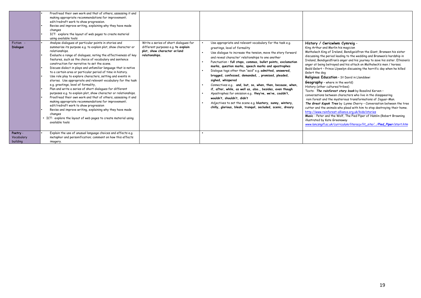| Fiction -<br><b>Dialoque</b>       | Proofread their own work and that of others, assessing it and<br>making appropriate recommendations for improvement;<br>edit/redraft work to show progression.<br>Revise and improve writing, explaining why they have made<br>changes<br>ICT: explore the layout of web pages to create material<br>using available tools<br>Analyse dialogues at particular points in stories and<br>summarise its purpose e.g. to explain plot, show character or<br>relationships.<br>Evaluate a range of dialogues, noting the effectiveness of key<br>features, such as the choice of vocabulary and sentence<br>construction for narrative to set the scene.<br>Discuss dialect in plays and unfamiliar language that is native<br>to a certain area or particular period of time in history.<br>Use role play to explore characters, setting and events in<br>stories. Use appropriate and relevant vocabulary for the task<br>e.g. greetings, level of formality,<br>Plan and write a series of short dialogues for different<br>purposes e.g. to explain plot, show character or relationships.<br>Proofread their own work and that of others, assessing it and<br>making appropriate recommendations for improvement;<br>edit/redraft work to show progression<br>Revise and improve writing, explaining why they have made<br>changes<br>• ICT: explore the layout of web pages to create material using<br>available tools | Write a series of short dialogues for<br>different purposes e.g. to explain<br>plot, show character or/and<br>relationships. | Use appropriate and relevant vocabulary for the task e.g.<br>greetings, level of formality<br>Use dialoque to increase the tension, move the story forward<br>and reveal character' relationships to one another<br>Punctuation - full stops, commas, bullet points, exclamation<br>marks, question marks, speech marks and apostrophes<br>Dialogue tags other than "said" e.g. admitted, answered,<br>bragged, confessed, demanded, , promised, pleaded,<br>sighed, whispered<br>Connectives e.g. and, but, so, when, then, because, when,<br>if, after, while, as well as, also., besides, even though<br>Apostrophes for omission e.g. they've, we've, couldn't,<br>wouldn't, shouldn't, didn't<br>Adjectives to set the scene e.g. blustery, sunny, wintery,<br>chilly, glorious, bleak, tranquil, secluded, scenic, dreary | History / Cwricwlwm Cymreig -<br>King Arthur and Merlin his magician<br>Matholwch King of Ireland, Bendigeidfran the Giant, Branwen his sister<br>discussing the period leading to the wedding and Branwen's hardship in<br>Ireland, Bendigeidfran's anger and his journey to save his sister. Efnisien's<br>anger at being betrayed and his attack on Matholwch's men / horses.<br>Bedd Gelert - Prince Llywelyn discussing the horrific day when he killed<br>Gelert the dog<br>Religious Education - St David in Llanddewi<br><b>Geography</b> - where in the world)<br>History (other cultures/tribes)<br>Texts: The rainforest story book by Rosalind Kerven -<br>conversations between characters who live in the disappearing<br>rain forest and the mysterious transformations of Jaquar-Man.<br>The Great Kapok Tree by : Lynne Cherry - Conversation between the tree<br>cutter and the animals who plead with him to stop destroying their home.<br>http://www.rainforest-alliance.org.uk/kids/stories<br>Music: Peter and the Wolf, The Pied Piper of Hamlin (Robert Browning<br>illustrated by Kate Greenaway<br>www.lancsnqfl.ac.uk/curriculum/literacy/lit_site//Pied_Piper/start.htm |
|------------------------------------|--------------------------------------------------------------------------------------------------------------------------------------------------------------------------------------------------------------------------------------------------------------------------------------------------------------------------------------------------------------------------------------------------------------------------------------------------------------------------------------------------------------------------------------------------------------------------------------------------------------------------------------------------------------------------------------------------------------------------------------------------------------------------------------------------------------------------------------------------------------------------------------------------------------------------------------------------------------------------------------------------------------------------------------------------------------------------------------------------------------------------------------------------------------------------------------------------------------------------------------------------------------------------------------------------------------------------------------------------------------------------------------------------------------------------|------------------------------------------------------------------------------------------------------------------------------|---------------------------------------------------------------------------------------------------------------------------------------------------------------------------------------------------------------------------------------------------------------------------------------------------------------------------------------------------------------------------------------------------------------------------------------------------------------------------------------------------------------------------------------------------------------------------------------------------------------------------------------------------------------------------------------------------------------------------------------------------------------------------------------------------------------------------------|------------------------------------------------------------------------------------------------------------------------------------------------------------------------------------------------------------------------------------------------------------------------------------------------------------------------------------------------------------------------------------------------------------------------------------------------------------------------------------------------------------------------------------------------------------------------------------------------------------------------------------------------------------------------------------------------------------------------------------------------------------------------------------------------------------------------------------------------------------------------------------------------------------------------------------------------------------------------------------------------------------------------------------------------------------------------------------------------------------------------------------------------------------------------------------------------------|
| Poetry -<br>Vocabulary<br>building | Explain the use of unusual language choices and effects e.g.<br>metaphor and personification; comment on how this effects<br>imagery.                                                                                                                                                                                                                                                                                                                                                                                                                                                                                                                                                                                                                                                                                                                                                                                                                                                                                                                                                                                                                                                                                                                                                                                                                                                                                    |                                                                                                                              |                                                                                                                                                                                                                                                                                                                                                                                                                                                                                                                                                                                                                                                                                                                                                                                                                                 |                                                                                                                                                                                                                                                                                                                                                                                                                                                                                                                                                                                                                                                                                                                                                                                                                                                                                                                                                                                                                                                                                                                                                                                                      |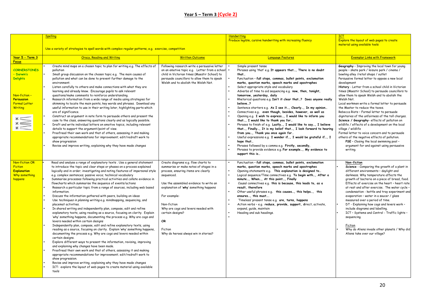|                          | <b>Spelling</b>                                                                                                                                       |                                                                                    | <b>Handwriting</b>                                                                                                       | <b>ICT</b>                                                                             |
|--------------------------|-------------------------------------------------------------------------------------------------------------------------------------------------------|------------------------------------------------------------------------------------|--------------------------------------------------------------------------------------------------------------------------|----------------------------------------------------------------------------------------|
|                          |                                                                                                                                                       |                                                                                    | Produce legible, cursive handwriting with increasing fluency                                                             | Explore the layout of web pages to create                                              |
|                          |                                                                                                                                                       |                                                                                    |                                                                                                                          | material using available tools                                                         |
|                          | Use a variety of strategies to spell words with complex regular patterns, e.g. exercise, competition                                                  |                                                                                    |                                                                                                                          |                                                                                        |
| Year 5 - Term 3          | <b>Oracy, Reading and Writing</b><br><b>Written Outcome</b>                                                                                           |                                                                                    | <b>Language Features</b>                                                                                                 | <b>Exemplar Links with Framework</b>                                                   |
| <b>Focus</b>             |                                                                                                                                                       |                                                                                    |                                                                                                                          |                                                                                        |
|                          | Create mind maps on a chosen topic to plan for writing e.g. The effects of                                                                            | Following research write a persuasive letter                                       | Simple present tense                                                                                                     | Geography - Improving the local town for young                                         |
| <b>CORNERSTONES</b>      | pollution                                                                                                                                             | on an emotive topic e.g. Letter from a school                                      | Phrases using 'that' e.g. It appears that, There is no doubt                                                             | people - skate park / leisure park / cinema /                                          |
| - Darwin's               | Small group discussion on the chosen topic e.g. The main causes of                                                                                    | child in Victorian times (Maestir School) to                                       | that                                                                                                                     | bowling alley /retail shops / outlet                                                   |
| <b>Delights</b>          | pollution and what can be done to prevent further damage to the<br>environment.                                                                       | persuade councillors to allow them to speak<br>Welsh and to abolish the Welsh Not. | Punctuation - full stops, commas, bullet points, exclamation<br>marks, question marks, speech marks and apostrophes      | Persuasive formal letter to oppose a new local<br>development                          |
|                          | Listen carefully to others and make connections with what they are                                                                                    |                                                                                    | Select appropriate style and vocabulary                                                                                  | History - Letter from a school child in Victorian                                      |
|                          | learning and already know. Encourage pupils to ask relevant                                                                                           |                                                                                    | Adverbs of time to aid sequencing e.g. now, then, tonight,                                                               | times (Maestir School) to persuade councillors to                                      |
| Non-fiction-             | questions/make comments to reinforce understanding.                                                                                                   |                                                                                    | tomorrow, yesterday, daily                                                                                               | allow them to speak Welsh and to abolish the                                           |
| <b>Persuasion</b>        | Research information from a wide range of media using strategies for                                                                                  |                                                                                    | Rhetorical questions e.g. Isn't it clear that? Does anyone really                                                        | Welsh Not.                                                                             |
| <b>Formal Letter</b>     | skimming to locate the main points, key words and phrases. Download any<br>useful information to use in their writing later, highlighting parts which |                                                                                    | believe?                                                                                                                 | Local workmen write a formal letter to persuade<br>the Master to reduce the taxes.     |
| <b>Writing</b>           | are of significance.                                                                                                                                  |                                                                                    | Sentence starters e.g. As I see it, Clearly, In my opinion<br>Connectives e.g. even though, besides, however, as well as | Rebecca Riots - Formal letter to persuade                                              |
|                          | Construct an argument in note form to persuade others and present the                                                                                 |                                                                                    | Opening e.g. I wish to express, I would like to inform you                                                               | dignitaries of the unfairness of the toll charges.                                     |
|                          | case to the class, answering questions clearly and as logically possible.                                                                             |                                                                                    | that, I would like to thank you for                                                                                      | Science / Geography- effects of pollution on                                           |
|                          | Draft and write individual letters on emotive topics, including relevant                                                                              |                                                                                    | Phrases to finish of e.g. Lastly, I would like to say, I believe                                                         | wildlife / effects of a development on the local                                       |
|                          | details to support the argument/point of view.<br>Proofread their own work and that of others, assessing it and making                                |                                                                                    | that, Finally, It is my belief that, I look forward to hearing<br>from you, Thank you once again for                     | village / wildlife<br>Formal letter to voice concern and to persuade                   |
|                          | appropriate recommendations for improvement; edit/redraft work to                                                                                     |                                                                                    | Useful expressions e.g. I wonder if, I would be grateful if, I                                                           | others of the negative effects of pollution.                                           |
|                          | show progression                                                                                                                                      |                                                                                    | hope that                                                                                                                | PSE - Closing the local swimming pool -                                                |
|                          | Revise and improve writing, explaining why they have made changes                                                                                     |                                                                                    | Phrases followed by a comma e.g. Firstly, secondly,                                                                      | argument for and against using persuasive                                              |
|                          |                                                                                                                                                       |                                                                                    | Phrases to provide evidence e.g. For example, My evidence to<br>support this is                                          | writing.                                                                               |
|                          |                                                                                                                                                       |                                                                                    |                                                                                                                          |                                                                                        |
| Non-fiction OR           | Read and analyse a range of explanatory texts . Use a general statement                                                                               | Create diagrams e.g. flow charts to                                                | Punctuation - full stops, commas, bullet points, exclamation                                                             | Non-fiction                                                                            |
| <b>Fiction</b>           | to introduce the topic and clear steps or phases on a process explained                                                                               | summarise or make notes of stages in a                                             | marks, question marks, speech marks and apostrophes                                                                      | Science - Comparing the growth of a plant in                                           |
| <b>Explanation</b>       | logically and in order; investigating and noting features of impersonal style                                                                         | process, ensuring items are clearly                                                | Opening statements e.g. This explanation is designed to                                                                  | different environments - daylight and                                                  |
| Why something<br>happens | e.g. complex sentences; passive voice; technical vocabulary<br>Summarise processes following practical activities and collate evidence in             | sequenced.                                                                         | Logical sequence/Time connectives e.g. To begin with, After a<br>minute, When, At this point, Finally                    | darkness. Why temperature affects the<br>growth of bacteria on a piece of bread, food. |
|                          | flowcharts which summarise the sequence of events/actions                                                                                             | Use the assembled evidence to write an                                             | Causal connectives e.g. this is because, this leads to, as a                                                             | Effects of exercise on the heart - heart rate                                          |
|                          | Research a particular topic from a range of sources, including web based                                                                              | explanation of 'why' something happens                                             | result, therefore                                                                                                        | at rest and after exercise. The water cycle -                                          |
|                          | information.                                                                                                                                          |                                                                                    | Other useful phrases e.g. this causes, this helps, this                                                                  | condensation - kettle and tray experiment and                                          |
|                          | Discuss the information gathered with peers, building on ideas<br>Use techniques in planning writing e.g. mindmapping, sequencing, and                | For example:                                                                       | ensures, this must<br>'Timeless' present tense e.g. are, turns, happens                                                  | evaporation - water in a saucer / glass<br>measured over a period of time.             |
|                          | placemat activities.                                                                                                                                  | Non-fiction                                                                        | Action verbs - e.g. reduce, provide, support, direct, activate,                                                          | DT - Explaining how cogs and levers work -                                             |
|                          | In shared writing and independently plan, compose, edit and refine                                                                                    | Why are cogs and levers needed with                                                | expand, quide, maintain                                                                                                  | include diagrams and labelling.                                                        |
|                          | explanatory texts, using reading as a source, focusing on clarity. Explain                                                                            | certain designs?                                                                   | Heading and sub headings.                                                                                                | ICT - Systems and Control - Traffic lights -                                           |
|                          | 'why' something happens, documenting the process e.g. Why are cogs and                                                                                |                                                                                    |                                                                                                                          | sequencing.                                                                            |
|                          | levers needed within certain designs<br>Independently plan, compose, edit and refine explanatory texts, using                                         | OR                                                                                 |                                                                                                                          | Fiction                                                                                |
|                          | reading as a source, focusing on clarity. Explain 'why' something happens,                                                                            | Fiction                                                                            |                                                                                                                          | Why do Aliens invade other planets / Why did                                           |
|                          | documenting the process e.g. Why are cogs and levers needed within                                                                                    | Why do heroes always win in stories?                                               |                                                                                                                          | Aliens take over our village?                                                          |
|                          | certain designs.                                                                                                                                      |                                                                                    |                                                                                                                          |                                                                                        |
|                          | Explore different ways to present the information, revising, improving<br>and explaining why changes have been made.                                  |                                                                                    |                                                                                                                          |                                                                                        |
|                          | Proofread their own work and that of others, assessing it and making                                                                                  |                                                                                    |                                                                                                                          |                                                                                        |
|                          | appropriate recommendations for improvement; edit/redraft work to                                                                                     |                                                                                    |                                                                                                                          |                                                                                        |
|                          | show progression.                                                                                                                                     |                                                                                    |                                                                                                                          |                                                                                        |
|                          | Revise and improve writing, explaining why they have made changes                                                                                     |                                                                                    |                                                                                                                          |                                                                                        |
|                          | ICT: explore the layout of web pages to create material using available<br>tools                                                                      |                                                                                    |                                                                                                                          |                                                                                        |
|                          |                                                                                                                                                       |                                                                                    |                                                                                                                          |                                                                                        |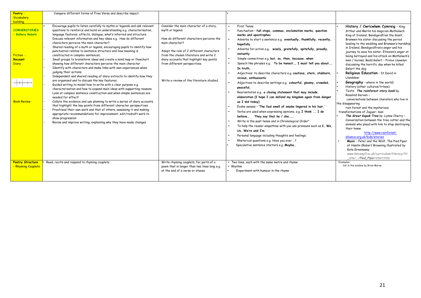| Poetry -                                                                                              | Compare different forms of Free Verse and describe impact.                                                                                                                                                                                                                                                                                                                                                                                                                                                                                                                                                                                                                                                                                                                                                                                                                                                                                                                                                                                                                                                                                                                                                                                                                                                                                                                                                                                                                                                                       |                                                                                                                                                                                                                                                                                                                                          |                                                                                                                                                                                                                                                                                                                                                                                                                                                                                                                                                                                                                                                                                                                                                                                                                                                                                                                                                                                                                                                                                                                                                                                                                  |                                                                                                                                                                                                                                                                                                                                                                                                                                                                                                                                                                                                                                                                                                                                                                                                                                                                                                                                                                                                                                                                                                                                                                    |
|-------------------------------------------------------------------------------------------------------|----------------------------------------------------------------------------------------------------------------------------------------------------------------------------------------------------------------------------------------------------------------------------------------------------------------------------------------------------------------------------------------------------------------------------------------------------------------------------------------------------------------------------------------------------------------------------------------------------------------------------------------------------------------------------------------------------------------------------------------------------------------------------------------------------------------------------------------------------------------------------------------------------------------------------------------------------------------------------------------------------------------------------------------------------------------------------------------------------------------------------------------------------------------------------------------------------------------------------------------------------------------------------------------------------------------------------------------------------------------------------------------------------------------------------------------------------------------------------------------------------------------------------------|------------------------------------------------------------------------------------------------------------------------------------------------------------------------------------------------------------------------------------------------------------------------------------------------------------------------------------------|------------------------------------------------------------------------------------------------------------------------------------------------------------------------------------------------------------------------------------------------------------------------------------------------------------------------------------------------------------------------------------------------------------------------------------------------------------------------------------------------------------------------------------------------------------------------------------------------------------------------------------------------------------------------------------------------------------------------------------------------------------------------------------------------------------------------------------------------------------------------------------------------------------------------------------------------------------------------------------------------------------------------------------------------------------------------------------------------------------------------------------------------------------------------------------------------------------------|--------------------------------------------------------------------------------------------------------------------------------------------------------------------------------------------------------------------------------------------------------------------------------------------------------------------------------------------------------------------------------------------------------------------------------------------------------------------------------------------------------------------------------------------------------------------------------------------------------------------------------------------------------------------------------------------------------------------------------------------------------------------------------------------------------------------------------------------------------------------------------------------------------------------------------------------------------------------------------------------------------------------------------------------------------------------------------------------------------------------------------------------------------------------|
| Vocabulary                                                                                            |                                                                                                                                                                                                                                                                                                                                                                                                                                                                                                                                                                                                                                                                                                                                                                                                                                                                                                                                                                                                                                                                                                                                                                                                                                                                                                                                                                                                                                                                                                                                  |                                                                                                                                                                                                                                                                                                                                          |                                                                                                                                                                                                                                                                                                                                                                                                                                                                                                                                                                                                                                                                                                                                                                                                                                                                                                                                                                                                                                                                                                                                                                                                                  |                                                                                                                                                                                                                                                                                                                                                                                                                                                                                                                                                                                                                                                                                                                                                                                                                                                                                                                                                                                                                                                                                                                                                                    |
| <b>building</b>                                                                                       |                                                                                                                                                                                                                                                                                                                                                                                                                                                                                                                                                                                                                                                                                                                                                                                                                                                                                                                                                                                                                                                                                                                                                                                                                                                                                                                                                                                                                                                                                                                                  |                                                                                                                                                                                                                                                                                                                                          |                                                                                                                                                                                                                                                                                                                                                                                                                                                                                                                                                                                                                                                                                                                                                                                                                                                                                                                                                                                                                                                                                                                                                                                                                  |                                                                                                                                                                                                                                                                                                                                                                                                                                                                                                                                                                                                                                                                                                                                                                                                                                                                                                                                                                                                                                                                                                                                                                    |
| <b>CORNERSTONES</b><br>- Gallery Rebels<br>Fiction -<br>Recount<br><b>Diary</b><br><b>Book Review</b> | Encourage pupils to listen carefully to myths or legends and ask relevant<br>questions to reinforce and build on understanding e.g. characterisation,<br>language features, effects, dialogue, what's inferred and structure.<br>Discuss relevant information and key ideas e.g. How do different<br>characters perceive the main character?<br>Shared reading of a myth or legend, encouraging pupils to identify how<br>punctuation relates to sentence structure and how meaning is<br>constructed in complex sentences.<br>Small groups to brainstorm ideas and create a mind map or flowchart<br>showing how different characters perceive the main character<br>Identify with characters and make links with own experiences when<br>judging their actions.<br>Independent and shared reading of diary extracts to identify how they<br>are organised and to discuss the key features.<br>Guided writing to model how to write with a clear purpose e.g.<br>characterisation and how to expand main ideas with supporting reasons.<br>Look at complex sentence construction and when simple sentences are<br>needed for effect!<br>Collate the evidence and use planning to write a series of diary accounts<br>that highlight the key points from different character perspectives.<br>Proofread their own work and that of others, assessing it and making<br>appropriate recommendations for improvement; edit/redraft work to<br>show progression<br>Revise and improve writing, explaining why they have made changes | Consider the main character of a story.<br>myth or legend.<br>How do different characters perceive the<br>main character?<br>Adopt the role of 2 different characters<br>from the chosen literature and write 2<br>diary accounts that highlight key points<br>from different perspectives.<br>Write a review of the literature studied. | First Tense<br>Punctuation - full stops, commas, exclamation marks, question<br>marks and apostrophes<br>Adverbs to start a sentence e.g. eventually, thankfully, recently,<br>hopefully<br>Adverbs for action e.g. wisely, gratefully, spitefully, proudly,<br>instantly<br>Simple connectives e.g. but, so, then, because, when<br>Speech like phrases e.g. To be honest, I must tell you about,<br>In truth<br>Adjectives to describe characters e.g. cautious, stern, stubborn,<br>vicious, enthusiastic<br>Adjectives to describe settings e.g. colourful, gloomy, crowded,<br>peaceful,<br>Reorientation e.g. a closing statement that may include<br>elaboration (I hope I can defend my kingdom again from danger<br>as I did today)<br>Evoke senses - 'The foul smell of smoke lingered in his hair.'<br>Verbs are used when expressing opinions, e.g. I think  I do<br>believe They say that he / she<br>Write in the past tense and in Chronological Order"<br>To help the reader empathise with you use pronouns such as I, We,<br>Us. We're and I'm.<br>Personal language including thoughts and feelings.<br>Rhetorical questions e.g. Have you ever ?<br>Speculative sentence starters e.g. Maybe | History / Cwricwlwm Cymreig - King<br>Arthur and Merlin his magician Matholwch<br>King of Ireland, Bendigeidfran the Giant,<br>Branwen his sister discussing the period<br>leading to the wedding and Branwen's hardship<br>in Ireland, Bendigeidfran's anger and his<br>journey to save his sister. Efnisien's anger at<br>being betrayed and his attack on Matholwch's<br>men / horses. Bedd Gelert - Prince Llywelyn<br>discussing the horrific day when he killed<br>Gelert the dog<br>Religious Education - St David in<br><b>Llanddewi</b><br><b>Geography</b> - where in the world)<br>History (other cultures/tribes)<br>Texts: The rainforest story book by<br>Rosalind Kerven -<br>conversations between charaters who live in<br>the disappearing<br>rain forest and the mysterious<br>transformations of Jaquar- man<br>The Great Kapok Tree by : Lynne Cherry -<br>Conversation between the tree cutter and the<br>animals who plead with him to stop destroying<br>their home.<br>http://www.rainforest-<br>alliance.org.uk/kids/stories<br>Music: Peter and the Wolf, The Pied Piper<br>of Hamlin (Robert Browning illustrated by<br>Kate Greenaway |
|                                                                                                       |                                                                                                                                                                                                                                                                                                                                                                                                                                                                                                                                                                                                                                                                                                                                                                                                                                                                                                                                                                                                                                                                                                                                                                                                                                                                                                                                                                                                                                                                                                                                  |                                                                                                                                                                                                                                                                                                                                          |                                                                                                                                                                                                                                                                                                                                                                                                                                                                                                                                                                                                                                                                                                                                                                                                                                                                                                                                                                                                                                                                                                                                                                                                                  | www.lancsngfl.ac.uk/curriculum/literacy/lit<br>site//Pied Piper/start.htm                                                                                                                                                                                                                                                                                                                                                                                                                                                                                                                                                                                                                                                                                                                                                                                                                                                                                                                                                                                                                                                                                          |
| <b>Poetry Structure</b><br>- Rhyming Couplets                                                         | Read, recite and respond to rhyming couplets                                                                                                                                                                                                                                                                                                                                                                                                                                                                                                                                                                                                                                                                                                                                                                                                                                                                                                                                                                                                                                                                                                                                                                                                                                                                                                                                                                                                                                                                                     | Write rhyming couplets, for parts of a<br>poem that is longer than two lines long e.g.<br>at the end of a verse or stanza                                                                                                                                                                                                                | Two lines, each with the same metre and rhyme<br>Rhythm<br>Experiment with humour in the rhyme                                                                                                                                                                                                                                                                                                                                                                                                                                                                                                                                                                                                                                                                                                                                                                                                                                                                                                                                                                                                                                                                                                                   | Examples:<br>Cat in the window by Brian Morse                                                                                                                                                                                                                                                                                                                                                                                                                                                                                                                                                                                                                                                                                                                                                                                                                                                                                                                                                                                                                                                                                                                      |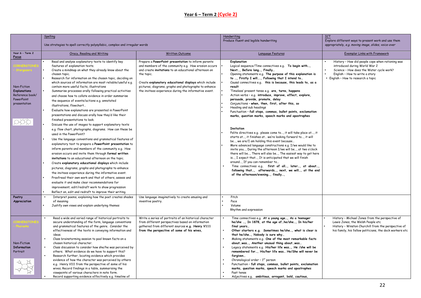### **Year 6 – Term 2 (Cycle 2)**

|                                                                                     | Spelling<br>Use strategies to spell correctly polysyllabic, complex and irregular words                                                                                                                                                                                                                                                                                                                                                                                                                                                                                                                                                                                                                                                                                                                                                                                                                                                                                                                                                                                                                                                                                                                                                                                                                                                                                                                                                                                                                                                                  |                                                                                                                                                                                                                                                                                                                                                               | Handwriting<br>Produce fluent and legible handwriting                                                                                                                                                                                                                                                                                                                                                                                                                                                                                                                                                                                                                                                                                                                                                                                                                                                                                                                                                                                                                                                                                                                                                                                                                                                                          | <b>ICT</b><br>Explore different ways to present work and use them<br>appropriately, e.g. moving image, slides, voice-over                                                                               |
|-------------------------------------------------------------------------------------|----------------------------------------------------------------------------------------------------------------------------------------------------------------------------------------------------------------------------------------------------------------------------------------------------------------------------------------------------------------------------------------------------------------------------------------------------------------------------------------------------------------------------------------------------------------------------------------------------------------------------------------------------------------------------------------------------------------------------------------------------------------------------------------------------------------------------------------------------------------------------------------------------------------------------------------------------------------------------------------------------------------------------------------------------------------------------------------------------------------------------------------------------------------------------------------------------------------------------------------------------------------------------------------------------------------------------------------------------------------------------------------------------------------------------------------------------------------------------------------------------------------------------------------------------------|---------------------------------------------------------------------------------------------------------------------------------------------------------------------------------------------------------------------------------------------------------------------------------------------------------------------------------------------------------------|--------------------------------------------------------------------------------------------------------------------------------------------------------------------------------------------------------------------------------------------------------------------------------------------------------------------------------------------------------------------------------------------------------------------------------------------------------------------------------------------------------------------------------------------------------------------------------------------------------------------------------------------------------------------------------------------------------------------------------------------------------------------------------------------------------------------------------------------------------------------------------------------------------------------------------------------------------------------------------------------------------------------------------------------------------------------------------------------------------------------------------------------------------------------------------------------------------------------------------------------------------------------------------------------------------------------------------|---------------------------------------------------------------------------------------------------------------------------------------------------------------------------------------------------------|
| Year 6 - Term 2<br>Focus                                                            | Oracy, Reading and Writing                                                                                                                                                                                                                                                                                                                                                                                                                                                                                                                                                                                                                                                                                                                                                                                                                                                                                                                                                                                                                                                                                                                                                                                                                                                                                                                                                                                                                                                                                                                               | Written Outcome                                                                                                                                                                                                                                                                                                                                               | Language Features                                                                                                                                                                                                                                                                                                                                                                                                                                                                                                                                                                                                                                                                                                                                                                                                                                                                                                                                                                                                                                                                                                                                                                                                                                                                                                              | <b>Exemplar Links with Framework</b>                                                                                                                                                                    |
| Non-Fiction<br><b>Explanations</b><br>Reference book/<br>PowerPoint<br>presentation | Read and analyse explanatory texts to identify key<br>features of explanation texts.<br>Create a mindmap on what they already know about the<br>chosen topic.<br>Research for information on the chosen topic, deciding on<br>which sources of information are most reliable/useful e.g.<br>contain more useful facts, illustrations<br>Summarise processes orally following practical activities<br>and choose how to collate evidence in order summarise<br>the sequence of events/actions e.g. annotated<br>illustrations, flowchart<br>Evaluate how explanations are presented in PowerPoint<br>presentations and discuss orally how they'd like their<br>finished presentations to look.<br>Discuss the use of images to support explanatory texts<br>e.g. flow chart, photographs, diagrams. How can these be<br>used in the PowerPoint?<br>Use the language conventions and grammatical features of<br>explanatory text to prepare a PowerPoint presentation to<br>inform parents and members of the community e.g. How<br>erosion occurs and invite them through formal written<br>invitations to an educational afternoon on the topic.<br>Create explanatory educational displays which include<br>pictures, diagrams, graphs and photographs to enhance<br>the invitees experience during the informative event.<br>Proofread their own work and that of others, assess and<br>evaluate it and make clear recommendations for<br>improvement; edit/redraft work to show progression<br>Reflect on, edit and redraft to improve their writing. | Prepare a PowerPoint presentation to inform parents<br>and members of the community e.g. How erosion occurs<br>and create invitations to an educational afternoon on<br>the topic.<br>Create explanatory educational displays which include<br>pictures, diagrams, graphs and photographs to enhance<br>the invitees experience during the informative event. | Explanation<br>Logical sequence/Time connectives e.g. To begin with<br>Next, Before long, Finally<br>Opening statements e.g. The purpose of this explanation is<br>to , Firstly I will, Following that I intend to<br>Causal connectives e.g. this is because, this leads to, as a<br>result<br>'Timeless' present tense e.g. <b>are, turns, happens</b><br>Action verbs - e.g. introduce, improve, effect, explore,<br>persuade, provide, promote, delay<br>Conjunctions - when, then, first, after this, so<br>Heading and sub headings<br>Punctuation - full stops, commas, bullet points, exclamation<br>marks, question marks, speech marks and apostrophes<br><b>Invitation</b><br>Polite directives e.g. please come to, it will take place at, it<br>starts at, it finishes at we're looking forward to, it will<br>be, we are/I am holding this event because<br>More advanced language constructions e.g. I/we would like to<br>invite you, During the afternoon I/we will be, at two o'clock<br>there will be, There will also be, The easiest way to get here<br>is, I expect that, It is anticipated that we will finish<br>around, If you can remember to<br>Time connectives e.g. first of all, later, at about,<br>following that, afterwards, next, we will, at the end<br>of the afternoon/evening, finally, | History - How did people cope when rationing was<br>introduced during World War 2<br>Science - How does the Water cycle work?<br>English - How to write a story<br>• English - How to research a topic  |
| Poetry<br>Appreciation                                                              | Interpret poems, explaining how the poet creates shades<br>of meaning<br>Justify own views and explain underlying themes                                                                                                                                                                                                                                                                                                                                                                                                                                                                                                                                                                                                                                                                                                                                                                                                                                                                                                                                                                                                                                                                                                                                                                                                                                                                                                                                                                                                                                 | Use language imaginatively to create amusing and<br>inventive poetry.                                                                                                                                                                                                                                                                                         | Pitch<br>Pace<br>Volume<br>Rhythm and expression                                                                                                                                                                                                                                                                                                                                                                                                                                                                                                                                                                                                                                                                                                                                                                                                                                                                                                                                                                                                                                                                                                                                                                                                                                                                               |                                                                                                                                                                                                         |
| Non-Fiction<br><b>Information</b><br>Portrait                                       | Read a wide and varied range of historical portraits to<br>secure understanding of the form, language conventions<br>and grammatical features of the genre. Consider the<br>effectiveness of the texts in conveying information and<br>ideas.<br>Class brainstorming session to pool known facts on a<br>chosen historical character.<br>Class discussion to consider how she/he was perceived by<br>others. What evidence do we have to support this?<br>Research further, locating evidence which provides<br>evidence of how the character was perceived by others<br>e.g. Henry V111 from the perspective of some of his<br>wives, Record findings in a table, summarising the<br>viewpoints of various characters in note form.<br>Record supporting evidence effectively e.g. timeline of                                                                                                                                                                                                                                                                                                                                                                                                                                                                                                                                                                                                                                                                                                                                                          | Write a series of portraits of an historical character<br>from different perspectives based on information<br>gathered from different sources e.g. Henry V111<br>from the perspective of some of his wives,                                                                                                                                                   | Time connectives e.g. At a young age, As a teenager<br>he/she , In 1878, at the age of  he/she , In his/her<br>final years<br>Other starters e.g. Sometimes he/she, what is clear is<br>that he/she, Nobody is sure why<br>Making statements e.g. One of the most remarkable facts<br>aboutwas, Another unusual thing aboutwas<br>Legacy statements e.g. His/her life was, He /she will be<br>remembered for, His/her life was He/She will never be<br>forgiven<br>Chronological order - 1st person<br>Punctuation - full stops, commas, bullet points, exclamation<br>marks, question marks, speech marks and apostrophes<br>Past tense<br>Adjectives e.g. ambitious, arrogant, bold, cautious,                                                                                                                                                                                                                                                                                                                                                                                                                                                                                                                                                                                                                               | History - Michael Jones from the perspective of<br>Lewis Jones, the Welsh People etc<br>History - Winston Churchill from the perspective of<br>his family, his fellow politicians, the dock workers etc |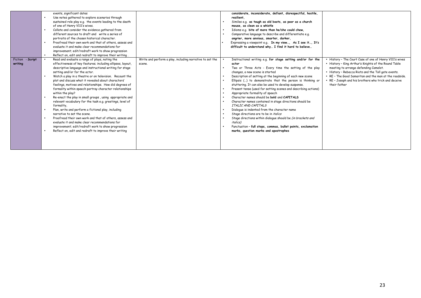|                             | events, significant dates<br>Use notes gathered to explore scenarios through<br>$\bullet$<br>sustained role play e.g. the events leading to the death<br>of one of Henry V111's wives.<br>Collate and consider the evidence gathered from<br>$\bullet$<br>different sources to draft and write a series of<br>portraits of the chosen historical character.<br>Proofread their own work and that of others, assess and<br>$\bullet$<br>evaluate it and make clear recommendations for<br>improvement; edit/redraft work to show progression<br>$\bullet$                                                                                                                                                                                                                                                                                                                                                                                                                                                                       |                                                                    | considerate, inconsiderate, defiant, disrespectful, hostile,<br>resilient.<br>Similes e.g. as tough as old boots, as poor as a church<br>mouse, as clean as a whistle<br>Idioms e.g. bite of more than he/she could chew,<br>Comparative language to describe and differentiate e.g.<br>angrier, more anxious, smarter, darker,<br>Expressing a viewpoint e.g. In my view, As I see it, It's<br>difficult to understand why I find it hard to believe                                                                                                                                                                                                                                                                                                                                                                                                                                 |                                                                                                                                                                                                                                                                                                                                                   |
|-----------------------------|--------------------------------------------------------------------------------------------------------------------------------------------------------------------------------------------------------------------------------------------------------------------------------------------------------------------------------------------------------------------------------------------------------------------------------------------------------------------------------------------------------------------------------------------------------------------------------------------------------------------------------------------------------------------------------------------------------------------------------------------------------------------------------------------------------------------------------------------------------------------------------------------------------------------------------------------------------------------------------------------------------------------------------|--------------------------------------------------------------------|---------------------------------------------------------------------------------------------------------------------------------------------------------------------------------------------------------------------------------------------------------------------------------------------------------------------------------------------------------------------------------------------------------------------------------------------------------------------------------------------------------------------------------------------------------------------------------------------------------------------------------------------------------------------------------------------------------------------------------------------------------------------------------------------------------------------------------------------------------------------------------------|---------------------------------------------------------------------------------------------------------------------------------------------------------------------------------------------------------------------------------------------------------------------------------------------------------------------------------------------------|
| Fiction - Script<br>writing | Reflect on, edit and redraft to improve their writing<br>Read and evaluate a range of plays, noting the<br>effectiveness of key features; including ellipses, layout,<br>descriptive language and instructional writing for stage<br>setting and/or for the actor.<br>Watch a play in a theatre or on television. Recount the<br>$\bullet$<br>plot and discuss what it revealed about characters'<br>feelings, motives and relationships. How did degrees of<br>formality within speech portray character relationships<br>within the play?<br>Re-enact the play in small groups, using appropriate and<br>relevant vocabulary for the task e.g. greetings, level of<br>formality,<br>Plan, write and perform a fictional play, including<br>$\bullet$<br>narrative to set the scene.<br>Proofread their own work and that of others, assess and<br>$\bullet$<br>evaluate it and make clear recommendations for<br>improvement; edit/redraft work to show progression<br>Reflect on, edit and redraft to improve their writing | Write and perform a play, including narrative to set the<br>scene. | Instructional writing e.g. for stage setting and/or for the<br>actor<br>Two or Three Acts - Every time the setting of the play<br>changes, a new scene is started<br>Description of setting at the beginning of each new scene<br>Ellipsis () to demonstrate that the person is thinking or<br>stuttering. It can also be used to develop suspense.<br>Present tense (used for setting scenes and describing actions)<br>Appropriate formality of speech<br>Character names should be bold and CAPITALS<br>Character names contained in stage directions should be<br>ITALIC AND CAPITALS<br>Dialogue is indented from the character name<br>Stage directions are to be in <i>italics</i><br>Stage directions within dialogue should be (in brackets and<br><i>italics</i> )<br>Punctuation - full stops, commas, bullet points, exclamation<br>marks, question marks and apostrophes | • History - The Court Case of one of Henry V111's wives<br>• History - King Arthur's Knights of the Round Table<br>meeting to arrange defending Camelot.<br>• History - Rebecca Riots and the Toll gate events.<br>• RE - The Good Samaritan and the man at the roadside.<br>• RE - Joseph and his brothers who trick and deceive<br>their father |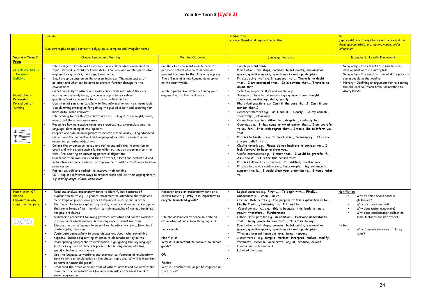|                                                                                                                              | <b>Spelling</b>                                                                                                                                                                                                                                                                                                                                                                                                                                                                                                                                                                                                                                                                                                                                                                                                                                                                                                                                                                                                                                                                                                                                                                                                                                                                                                                                                                                                                                                                                                                                                                                                                                                                                                               |                                                                                                                                                                                                                                                                                                                                                                        | <b>Handwriting</b><br>Produce fluent an d legible handwriting                                                                                                                                                                                                                                                                                                                                                                                                                                                                                                                                                                                                                                                                                                                                                                                                                                                                                                                                                                                                                                                                                                                                                                                                                                                                    | <b>ICT</b><br>Explore different ways to present work and use                                                                                                                                                                                                                         |
|------------------------------------------------------------------------------------------------------------------------------|-------------------------------------------------------------------------------------------------------------------------------------------------------------------------------------------------------------------------------------------------------------------------------------------------------------------------------------------------------------------------------------------------------------------------------------------------------------------------------------------------------------------------------------------------------------------------------------------------------------------------------------------------------------------------------------------------------------------------------------------------------------------------------------------------------------------------------------------------------------------------------------------------------------------------------------------------------------------------------------------------------------------------------------------------------------------------------------------------------------------------------------------------------------------------------------------------------------------------------------------------------------------------------------------------------------------------------------------------------------------------------------------------------------------------------------------------------------------------------------------------------------------------------------------------------------------------------------------------------------------------------------------------------------------------------------------------------------------------------|------------------------------------------------------------------------------------------------------------------------------------------------------------------------------------------------------------------------------------------------------------------------------------------------------------------------------------------------------------------------|----------------------------------------------------------------------------------------------------------------------------------------------------------------------------------------------------------------------------------------------------------------------------------------------------------------------------------------------------------------------------------------------------------------------------------------------------------------------------------------------------------------------------------------------------------------------------------------------------------------------------------------------------------------------------------------------------------------------------------------------------------------------------------------------------------------------------------------------------------------------------------------------------------------------------------------------------------------------------------------------------------------------------------------------------------------------------------------------------------------------------------------------------------------------------------------------------------------------------------------------------------------------------------------------------------------------------------|--------------------------------------------------------------------------------------------------------------------------------------------------------------------------------------------------------------------------------------------------------------------------------------|
|                                                                                                                              | Use strategies to spell correctly polysyllabic, complex and irregular words                                                                                                                                                                                                                                                                                                                                                                                                                                                                                                                                                                                                                                                                                                                                                                                                                                                                                                                                                                                                                                                                                                                                                                                                                                                                                                                                                                                                                                                                                                                                                                                                                                                   |                                                                                                                                                                                                                                                                                                                                                                        |                                                                                                                                                                                                                                                                                                                                                                                                                                                                                                                                                                                                                                                                                                                                                                                                                                                                                                                                                                                                                                                                                                                                                                                                                                                                                                                                  | them appropriately, e.g. moving image, slides,<br>voice-over                                                                                                                                                                                                                         |
| Year 6 - Term 3<br><b>Focus</b>                                                                                              | <b>Oracy, Reading and Writing</b>                                                                                                                                                                                                                                                                                                                                                                                                                                                                                                                                                                                                                                                                                                                                                                                                                                                                                                                                                                                                                                                                                                                                                                                                                                                                                                                                                                                                                                                                                                                                                                                                                                                                                             | <b>Written Outcome</b>                                                                                                                                                                                                                                                                                                                                                 | <b>Language Features</b>                                                                                                                                                                                                                                                                                                                                                                                                                                                                                                                                                                                                                                                                                                                                                                                                                                                                                                                                                                                                                                                                                                                                                                                                                                                                                                         | <b>Exemplar Links with Framework</b>                                                                                                                                                                                                                                                 |
| <b>CORNERSTONES</b><br>- Darwin's<br><b>Delights</b><br>Non-fiction-<br>Persuasion<br><b>Formal Letter</b><br><b>Writing</b> | Use a range of strategies to research and collate ideas on an emotive<br>topic. Record relevant facts and details for oral and written persuasive<br>arguments e.g. notes, diagrams, flowcharts.<br>Small group discussion on the chosen topic e.g. The main causes of<br>pollution and what can be done to prevent further damage to the<br>environment.<br>Listen carefully to others and make connections with what they are<br>learning and already know. Encourage pupils to ask relevant<br>questions/make comments to reinforce understanding.<br>Use internet searches carefully to find information on the chosen topic.<br>Use skimming strategies for gaining the gist of a text and scanning for<br>more detail when relevant.<br>Use reading to investigate conditionals, e.g. using ifthen, might, could,<br>would, and their persuasive uses<br>Recognise how persuasive texts are organised e.g. expression, emotive<br>language, developing points logically.<br>Prepare one side on an argument to debate a topic orally, using Standard<br>English and the conventions and language of debate. Pre-empting or<br>answering potential objections<br>Collate the evidence collected and refine and edit the information to<br>draft and write a persuasive letter which outlines an argument/point of<br>view. Pre-empting or answering potential objections<br>Proofread their own work and that of others, assess and evaluate it and<br>make clear recommendations for improvement; edit/redraft work to show<br>progression<br>Reflect on, edit and redraft to improve their writing<br>ICT: explore different ways to present work and use them appropriately,<br>e.g. moving image, slides, voice-over | Construct an argument in note form to<br>persuade others of a point of view and<br>present the case to the class or group e.g.<br>The effects of a new housing development<br>on the countryside.<br>Write a persuasive letter outlining your<br>argument e.g.to the local council                                                                                     | Simple present tense<br>Punctuation - full stops, commas, bullet points, exclamation<br>marks, question marks, speech marks and apostrophes<br>Phrases using 'that' e.g. It appears that, There is no doubt<br>that, I am convinced that, It is obvious that, There is no<br>doubt that<br>Select appropriate style and vocabulary<br>Adverbs of time to aid sequencing e.g. now, then, tonight,<br>tomorrow, yesterday, daily, yearly<br>Rhetorical questions e.g. Isn't it the case that? Isn't it any<br>wonder that?<br>Sentence starters e.g. As I see it, Clearly, In my opinion,<br>Inevitably, Obviously<br>Connectives e.g. in addition to, despite, contrary to<br>Openings e.g. It has come to my attention that, I am grateful<br>to you for, It is with regret that, I would like to inform you<br>that<br>Phrases to finish of e.g. In conclusion, In summary, It is my<br>sincere belief that<br>Closing remark e.g. Please do not hesitate to contact me, I<br>look forward to hearing from you<br>Useful expressions e.g. I trust that, I would be grateful if,<br>As I see it, It is for this reason that<br>Phrases followed by a comma e.g. In addition, Furthermore<br>Phrases to provide evidence e.g. For example, My evidence to<br>support this is, I would draw your attention to, I would refer<br>to | • Geography - The effects of a new housing<br>development on the countryside<br>• Geography - The need for a local skate park for<br>young people in the locality.<br>• History - Outlining an argument for re-opening<br>the old local rail track from Carmarthen to<br>Aberystwyth |
| Non-fiction OR<br><b>Fiction</b><br><b>Explanation why</b><br>something happens                                              | Read and analyse explanatory texts to identify key features of<br>explanation texts e.g. a general statement to introduce the topic and<br>clear steps or phases on a process explained logically and in order<br>Distinguish between explanatory texts, reports and recounts. Recognise<br>that some forms of writing might contain examples of various texts e.g.<br>recipes, brochures<br>Summarise processes following practical activities and collate evidence<br>in flowcharts which summarise the sequence of events/actions<br>Discuss the use of images to support explanatory texts e.g. flow chart,<br>photographs, diagrams<br>Contribute purposefully to group discussions about 'why' something<br>happens. Include supporting evidence to elaborate on key points<br>Read opening paragraphs to explanation, highlighting the key language<br>features e.g. use of 'timeless present tense, sequencing of ideas,<br>specific technical vocabulary<br>Use the language conventions and grammatical features of explanatory<br>text to write an explanation on the chosen topic e.g. Why it is important<br>to recycle household goods?<br>Proofread their own work and that of others, assess and evaluate it and<br>make clear recommendations for improvement; edit/redraft work to                                                                                                                                                                                                                                                                                                                                                                                                                          | Research and plan explanatory text on a<br>chosen topic e.g. Why it is important to<br>recycle household goods?<br>Use the assembled evidence to write an<br>explanation of 'why' something happens<br>For example:<br>Non-fiction<br>Why it is important to recycle household<br>goods?<br>OR<br>Fiction<br>Why will teachers no longer be required in<br>the future? | Logical sequence e.g. Firstly, To begin with, Finally,<br>Subsequently, when, next<br>Opening statements e.g. The purpose of this explanation is to ,<br>Firstly I will, Following that I intend to<br>Causal connectives e.g. this is because, this leads to, as a<br>result, therefore, Furthermore<br>Other useful phrases e.g. In addition, Everyone understands<br>that, Many people believe that, It is true to say<br>Punctuation - full stops, commas, bullet points, exclamation<br>marks, question marks, speech marks and apostrophes<br>'Timeless' present tense e.g. are, turns, happens<br>Action verbs - e.g. compile, monitor, interpret, reduce, modify,<br>formulate, increase, accelerate, adjust, produce, collect<br>Heading and sub headings<br>Labelled diagrams                                                                                                                                                                                                                                                                                                                                                                                                                                                                                                                                          | Non-fiction<br>Why do some books contain<br>qlossaries?<br>Why are trees needed?<br>Why does water evaporate?<br>Why does condensation collect on<br>some surfaces and not others?<br>Fiction<br>Why do giants only exist in Fairy<br>tales?                                         |